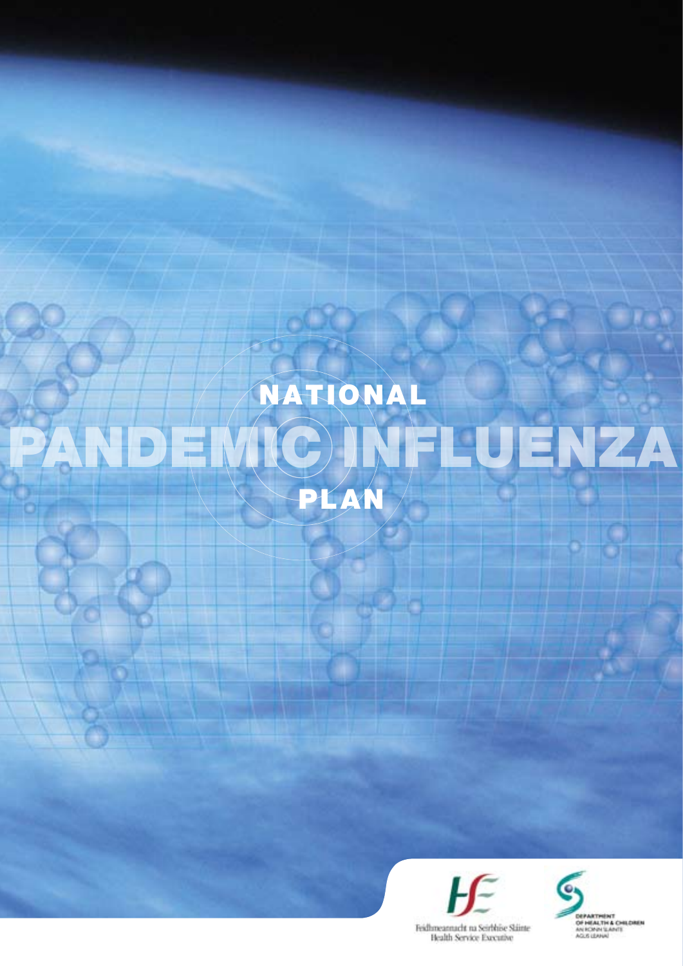# PANDEMIC INFLUENZA NAT IONAL PLAN

€



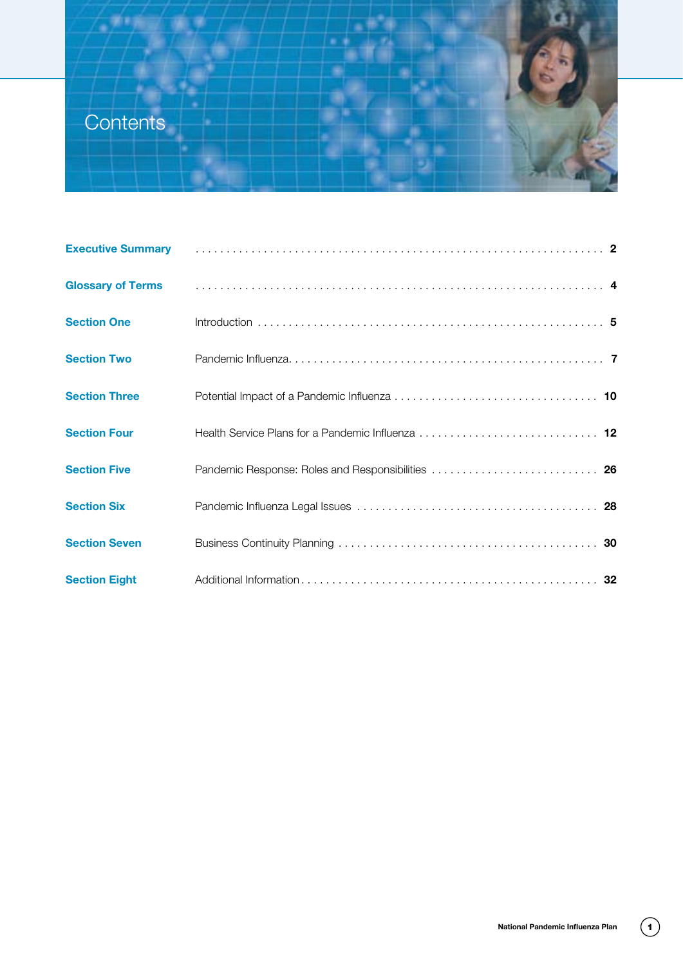# **Contents**

|                          | Executive Summary <b>Executive Summary 2</b>      |
|--------------------------|---------------------------------------------------|
| <b>Glossary of Terms</b> |                                                   |
| <b>Section One</b>       |                                                   |
| <b>Section Two</b>       |                                                   |
| <b>Section Three</b>     |                                                   |
| <b>Section Four</b>      |                                                   |
| <b>Section Five</b>      | Pandemic Response: Roles and Responsibilities  26 |
| <b>Section Six</b>       |                                                   |
| <b>Section Seven</b>     |                                                   |
| <b>Section Eight</b>     |                                                   |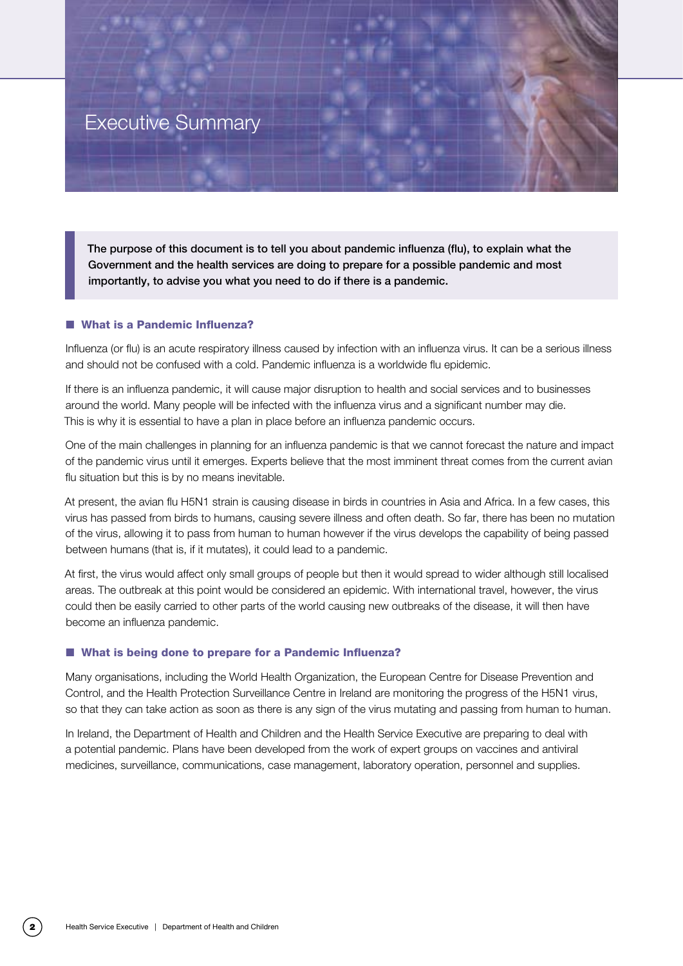# Executive Summary

The purpose of this document is to tell you about pandemic influenza (flu), to explain what the Government and the health services are doing to prepare for a possible pandemic and most importantly, to advise you what you need to do if there is a pandemic.

#### ■ What is a Pandemic Influenza?

Influenza (or flu) is an acute respiratory illness caused by infection with an influenza virus. It can be a serious illness and should not be confused with a cold. Pandemic influenza is a worldwide flu epidemic.

If there is an influenza pandemic, it will cause major disruption to health and social services and to businesses around the world. Many people will be infected with the influenza virus and a significant number may die. This is why it is essential to have a plan in place before an influenza pandemic occurs.

One of the main challenges in planning for an influenza pandemic is that we cannot forecast the nature and impact of the pandemic virus until it emerges. Experts believe that the most imminent threat comes from the current avian flu situation but this is by no means inevitable.

At present, the avian flu H5N1 strain is causing disease in birds in countries in Asia and Africa. In a few cases, this virus has passed from birds to humans, causing severe illness and often death. So far, there has been no mutation of the virus, allowing it to pass from human to human however if the virus develops the capability of being passed between humans (that is, if it mutates), it could lead to a pandemic.

At first, the virus would affect only small groups of people but then it would spread to wider although still localised areas. The outbreak at this point would be considered an epidemic. With international travel, however, the virus could then be easily carried to other parts of the world causing new outbreaks of the disease, it will then have become an influenza pandemic.

#### ■ What is being done to prepare for a Pandemic Influenza?

Many organisations, including the World Health Organization, the European Centre for Disease Prevention and Control, and the Health Protection Surveillance Centre in Ireland are monitoring the progress of the H5N1 virus, so that they can take action as soon as there is any sign of the virus mutating and passing from human to human.

In Ireland, the Department of Health and Children and the Health Service Executive are preparing to deal with a potential pandemic. Plans have been developed from the work of expert groups on vaccines and antiviral medicines, surveillance, communications, case management, laboratory operation, personnel and supplies.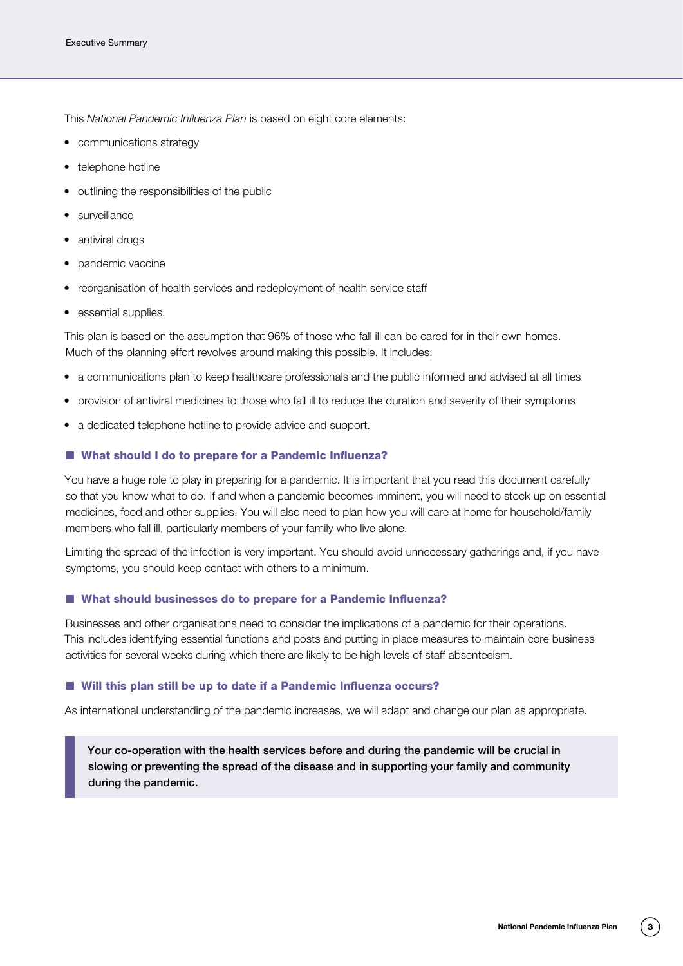This *National Pandemic Influenza Plan* is based on eight core elements:

- • communications strategy
- telephone hotline
- outlining the responsibilities of the public
- surveillance
- antiviral drugs
- pandemic vaccine
- reorganisation of health services and redeployment of health service staff
- essential supplies.

This plan is based on the assumption that 96% of those who fall ill can be cared for in their own homes. Much of the planning effort revolves around making this possible. It includes:

- a communications plan to keep healthcare professionals and the public informed and advised at all times
- provision of antiviral medicines to those who fall ill to reduce the duration and severity of their symptoms
- a dedicated telephone hotline to provide advice and support.

#### ■ What should I do to prepare for a Pandemic Influenza?

You have a huge role to play in preparing for a pandemic. It is important that you read this document carefully so that you know what to do. If and when a pandemic becomes imminent, you will need to stock up on essential medicines, food and other supplies. You will also need to plan how you will care at home for household/family members who fall ill, particularly members of your family who live alone.

Limiting the spread of the infection is very important. You should avoid unnecessary gatherings and, if you have symptoms, you should keep contact with others to a minimum.

#### ■ What should businesses do to prepare for a Pandemic Influenza?

Businesses and other organisations need to consider the implications of a pandemic for their operations. This includes identifying essential functions and posts and putting in place measures to maintain core business activities for several weeks during which there are likely to be high levels of staff absenteeism.

#### ■ Will this plan still be up to date if a Pandemic Influenza occurs?

As international understanding of the pandemic increases, we will adapt and change our plan as appropriate.

Your co-operation with the health services before and during the pandemic will be crucial in slowing or preventing the spread of the disease and in supporting your family and community during the pandemic.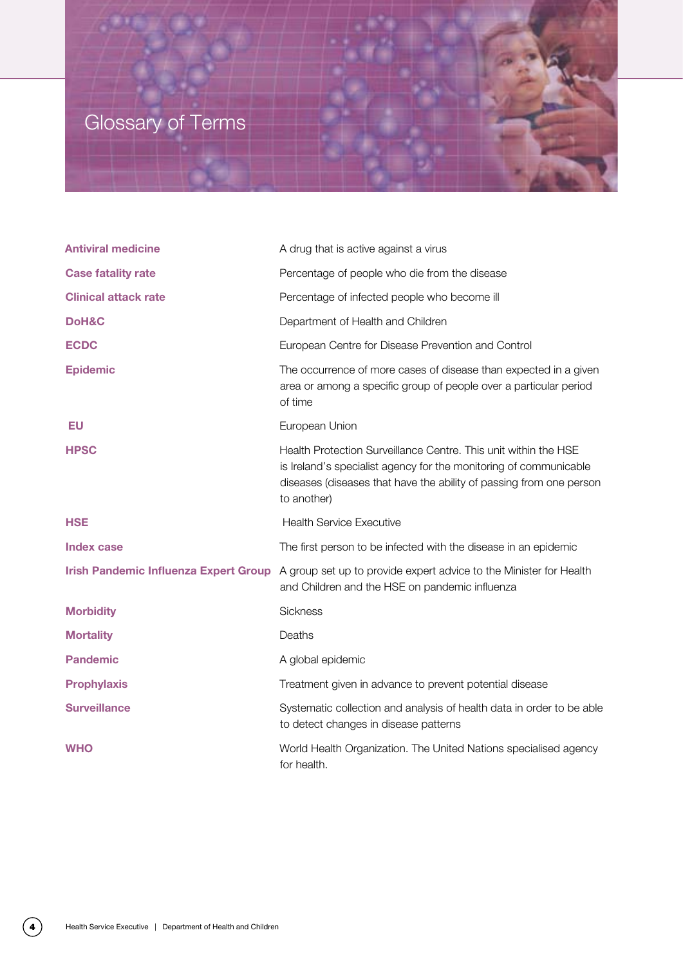# Glossary of Terms



| <b>Antiviral medicine</b>                    | A drug that is active against a virus                                                                                                                                                                                      |
|----------------------------------------------|----------------------------------------------------------------------------------------------------------------------------------------------------------------------------------------------------------------------------|
| <b>Case fatality rate</b>                    | Percentage of people who die from the disease                                                                                                                                                                              |
| <b>Clinical attack rate</b>                  | Percentage of infected people who become ill                                                                                                                                                                               |
| DoH&C                                        | Department of Health and Children                                                                                                                                                                                          |
| <b>ECDC</b>                                  | European Centre for Disease Prevention and Control                                                                                                                                                                         |
| <b>Epidemic</b>                              | The occurrence of more cases of disease than expected in a given<br>area or among a specific group of people over a particular period<br>of time                                                                           |
| EU                                           | European Union                                                                                                                                                                                                             |
| <b>HPSC</b>                                  | Health Protection Surveillance Centre. This unit within the HSE<br>is Ireland's specialist agency for the monitoring of communicable<br>diseases (diseases that have the ability of passing from one person<br>to another) |
| <b>HSE</b>                                   | <b>Health Service Executive</b>                                                                                                                                                                                            |
| <b>Index case</b>                            | The first person to be infected with the disease in an epidemic                                                                                                                                                            |
| <b>Irish Pandemic Influenza Expert Group</b> | A group set up to provide expert advice to the Minister for Health<br>and Children and the HSE on pandemic influenza                                                                                                       |
| <b>Morbidity</b>                             | Sickness                                                                                                                                                                                                                   |
| <b>Mortality</b>                             | Deaths                                                                                                                                                                                                                     |
| <b>Pandemic</b>                              | A global epidemic                                                                                                                                                                                                          |
| <b>Prophylaxis</b>                           | Treatment given in advance to prevent potential disease                                                                                                                                                                    |
| <b>Surveillance</b>                          | Systematic collection and analysis of health data in order to be able<br>to detect changes in disease patterns                                                                                                             |
| <b>WHO</b>                                   | World Health Organization. The United Nations specialised agency<br>for health.                                                                                                                                            |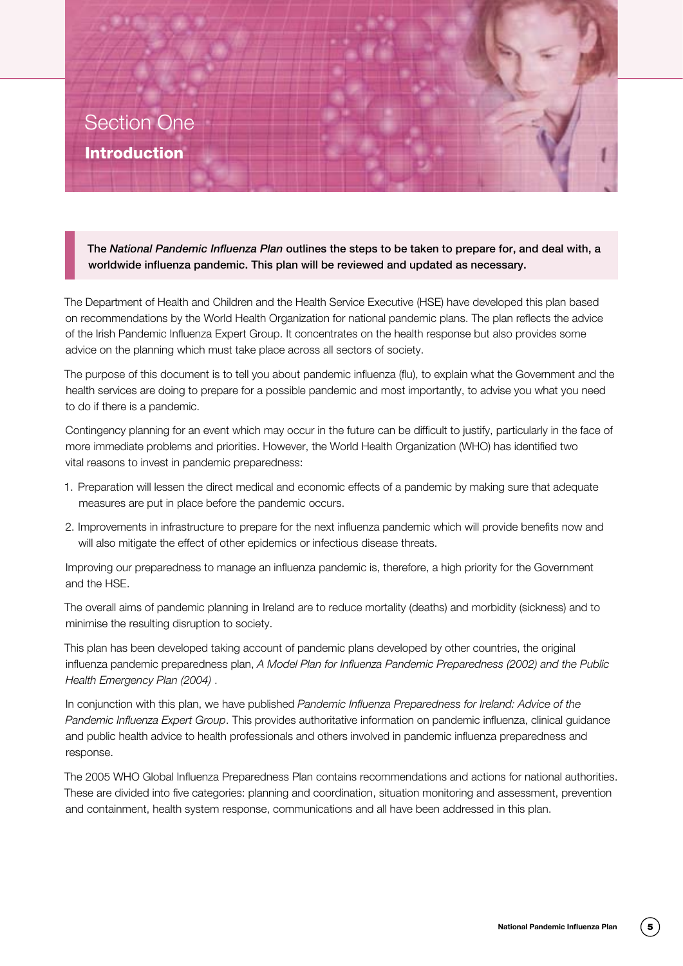The *National Pandemic Influenza Plan* outlines the steps to be taken to prepare for, and deal with, a worldwide influenza pandemic. This plan will be reviewed and updated as necessary.

The Department of Health and Children and the Health Service Executive (HSE) have developed this plan based on recommendations by the World Health Organization for national pandemic plans. The plan reflects the advice of the Irish Pandemic Influenza Expert Group. It concentrates on the health response but also provides some advice on the planning which must take place across all sectors of society.

The purpose of this document is to tell you about pandemic influenza (flu), to explain what the Government and the health services are doing to prepare for a possible pandemic and most importantly, to advise you what you need to do if there is a pandemic.

Contingency planning for an event which may occur in the future can be difficult to justify, particularly in the face of more immediate problems and priorities. However, the World Health Organization (WHO) has identified two vital reasons to invest in pandemic preparedness:

- 1. Preparation will lessen the direct medical and economic effects of a pandemic by making sure that adequate measures are put in place before the pandemic occurs.
- 2. Improvements in infrastructure to prepare for the next influenza pandemic which will provide benefits now and will also mitigate the effect of other epidemics or infectious disease threats.

Improving our preparedness to manage an influenza pandemic is, therefore, a high priority for the Government and the HSE.

The overall aims of pandemic planning in Ireland are to reduce mortality (deaths) and morbidity (sickness) and to minimise the resulting disruption to society.

This plan has been developed taking account of pandemic plans developed by other countries, the original influenza pandemic preparedness plan, *A Model Plan for Influenza Pandemic Preparedness (2002) and the Public Health Emergency Plan (2004)* .

In conjunction with this plan, we have published *Pandemic Influenza Preparedness for Ireland: Advice of the Pandemic Influenza Expert Group*. This provides authoritative information on pandemic influenza, clinical guidance and public health advice to health professionals and others involved in pandemic influenza preparedness and response.

The 2005 WHO Global Influenza Preparedness Plan contains recommendations and actions for national authorities. These are divided into five categories: planning and coordination, situation monitoring and assessment, prevention and containment, health system response, communications and all have been addressed in this plan.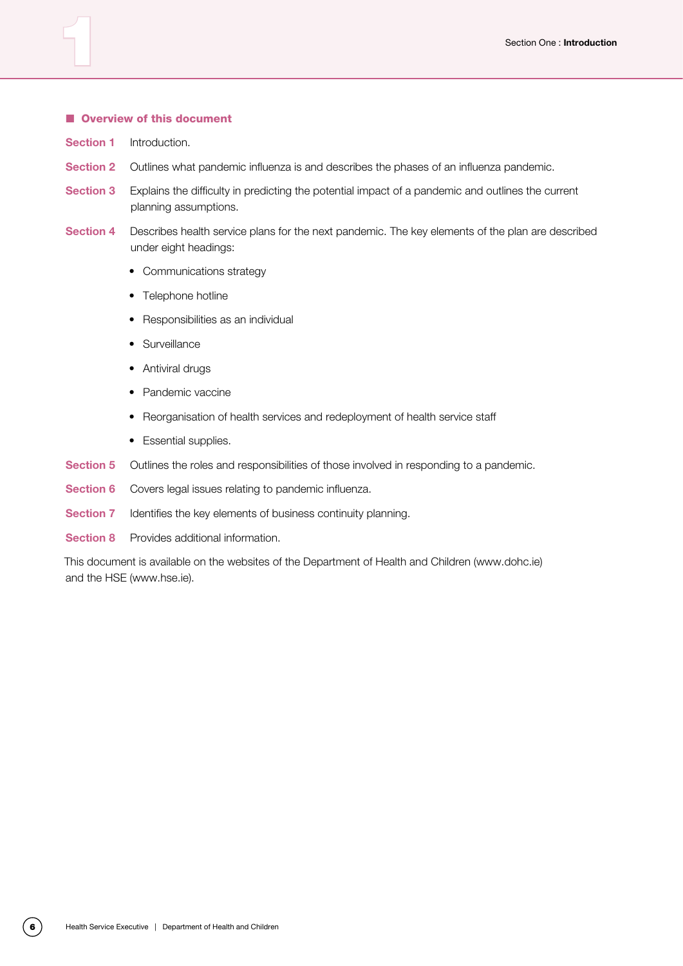#### **N** Overview of this document

- **Section 1** Introduction.
- **Section 2** Outlines what pandemic influenza is and describes the phases of an influenza pandemic.
- **Section 3** Explains the difficulty in predicting the potential impact of a pandemic and outlines the current planning assumptions.
- **Section 4** Describes health service plans for the next pandemic. The key elements of the plan are described under eight headings:
	- Communications strategy
	- Telephone hotline
	- Responsibilities as an individual
	- • Surveillance
	- Antiviral drugs
	- Pandemic vaccine
	- Reorganisation of health services and redeployment of health service staff
	- Essential supplies.
- **Section 5** Outlines the roles and responsibilities of those involved in responding to a pandemic.
- **Section 6** Covers legal issues relating to pandemic influenza.
- **Section 7** Identifies the key elements of business continuity planning.
- **Section 8** Provides additional information.

This document is available on the websites of the Department of Health and Children (www.dohc.ie) and the HSE (www.hse.ie).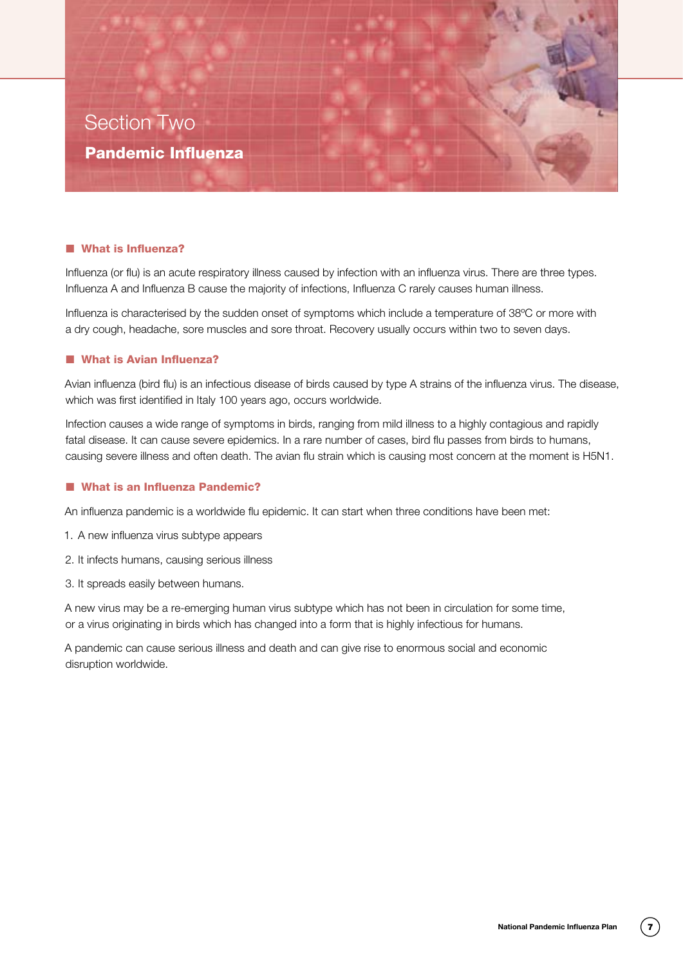

#### ■ What is Influenza?

Section Two

Pandemic Influenza

Influenza (or flu) is an acute respiratory illness caused by infection with an influenza virus. There are three types. Influenza A and Influenza B cause the majority of infections, Influenza C rarely causes human illness.

Influenza is characterised by the sudden onset of symptoms which include a temperature of 38ºC or more with a dry cough, headache, sore muscles and sore throat. Recovery usually occurs within two to seven days.

#### ■ What is Avian Influenza?

Avian influenza (bird flu) is an infectious disease of birds caused by type A strains of the influenza virus. The disease, which was first identified in Italy 100 years ago, occurs worldwide.

Infection causes a wide range of symptoms in birds, ranging from mild illness to a highly contagious and rapidly fatal disease. It can cause severe epidemics. In a rare number of cases, bird flu passes from birds to humans, causing severe illness and often death. The avian flu strain which is causing most concern at the moment is H5N1.

#### ■ What is an Influenza Pandemic?

An influenza pandemic is a worldwide flu epidemic. It can start when three conditions have been met:

- 1. A new influenza virus subtype appears
- 2. It infects humans, causing serious illness
- 3. It spreads easily between humans.

A new virus may be a re-emerging human virus subtype which has not been in circulation for some time, or a virus originating in birds which has changed into a form that is highly infectious for humans.

A pandemic can cause serious illness and death and can give rise to enormous social and economic disruption worldwide.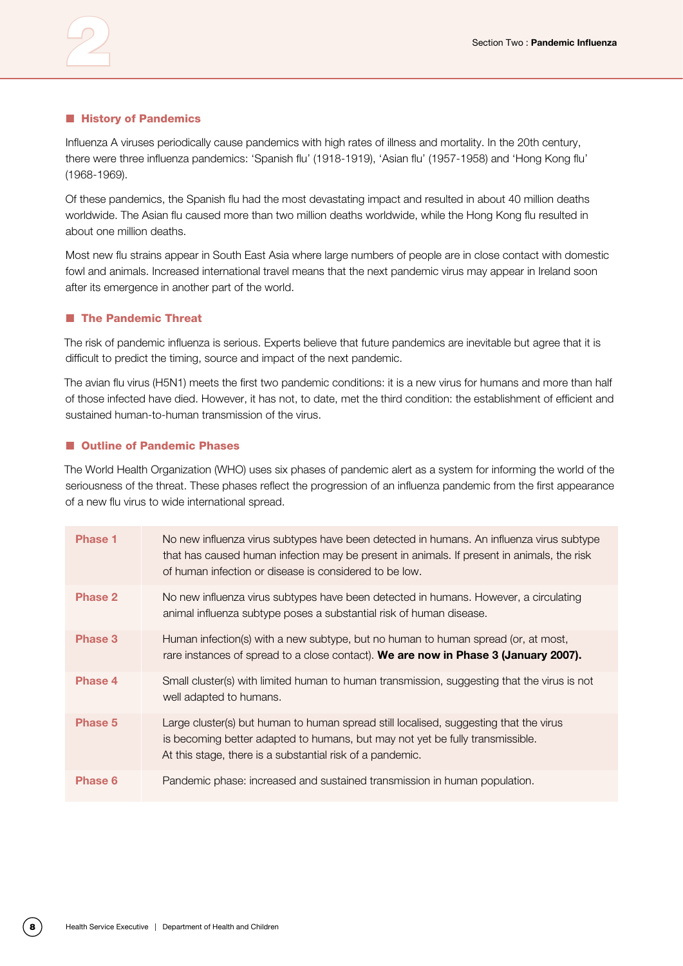#### $\blacksquare$  **History of Pandemics**

Influenza A viruses periodically cause pandemics with high rates of illness and mortality. In the 20th century, there were three influenza pandemics: 'Spanish flu' (1918-1919), 'Asian flu' (1957-1958) and 'Hong Kong flu' (1968-1969).

Of these pandemics, the Spanish flu had the most devastating impact and resulted in about 40 million deaths worldwide. The Asian flu caused more than two million deaths worldwide, while the Hong Kong flu resulted in about one million deaths.

Most new flu strains appear in South East Asia where large numbers of people are in close contact with domestic fowl and animals. Increased international travel means that the next pandemic virus may appear in Ireland soon after its emergence in another part of the world.

#### **n** The Pandemic Threat

The risk of pandemic influenza is serious. Experts believe that future pandemics are inevitable but agree that it is difficult to predict the timing, source and impact of the next pandemic.

The avian flu virus (H5N1) meets the first two pandemic conditions: it is a new virus for humans and more than half of those infected have died. However, it has not, to date, met the third condition: the establishment of efficient and sustained human-to-human transmission of the virus.

#### ■ Outline of Pandemic Phases

The World Health Organization (WHO) uses six phases of pandemic alert as a system for informing the world of the seriousness of the threat. These phases reflect the progression of an influenza pandemic from the first appearance of a new flu virus to wide international spread.

| <b>Phase 1</b> | No new influenza virus subtypes have been detected in humans. An influenza virus subtype<br>that has caused human infection may be present in animals. If present in animals, the risk<br>of human infection or disease is considered to be low. |
|----------------|--------------------------------------------------------------------------------------------------------------------------------------------------------------------------------------------------------------------------------------------------|
| Phase 2        | No new influenza virus subtypes have been detected in humans. However, a circulating<br>animal influenza subtype poses a substantial risk of human disease.                                                                                      |
| Phase 3        | Human infection(s) with a new subtype, but no human to human spread (or, at most,<br>rare instances of spread to a close contact). We are now in Phase 3 (January 2007).                                                                         |
| Phase 4        | Small cluster(s) with limited human to human transmission, suggesting that the virus is not<br>well adapted to humans.                                                                                                                           |
| Phase 5        | Large cluster(s) but human to human spread still localised, suggesting that the virus<br>is becoming better adapted to humans, but may not yet be fully transmissible.<br>At this stage, there is a substantial risk of a pandemic.              |
| Phase 6        | Pandemic phase: increased and sustained transmission in human population.                                                                                                                                                                        |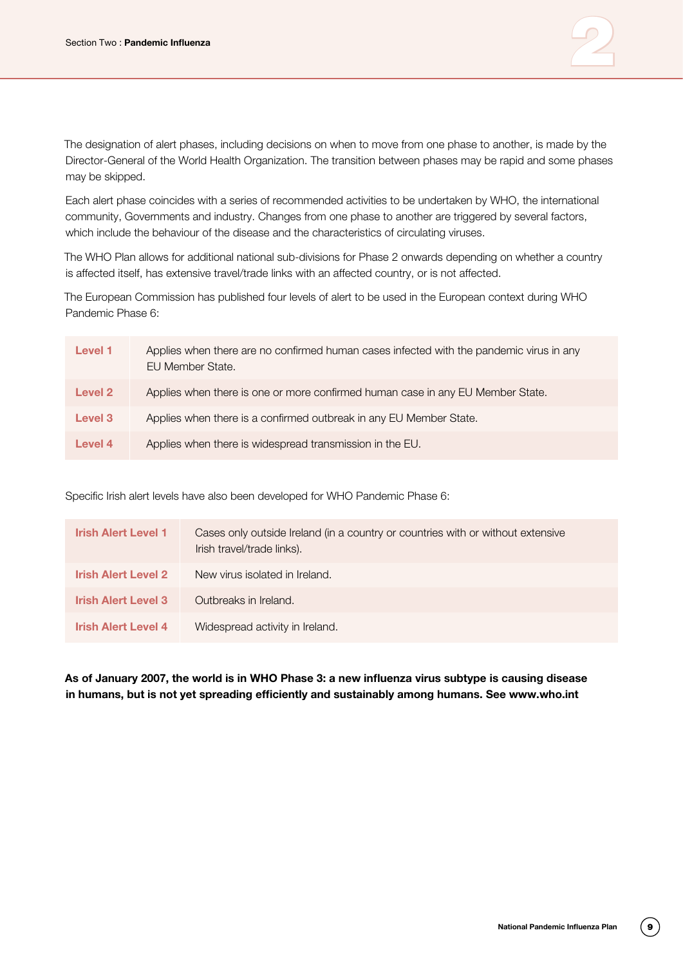

The designation of alert phases, including decisions on when to move from one phase to another, is made by the Director-General of the World Health Organization. The transition between phases may be rapid and some phases may be skipped.

Each alert phase coincides with a series of recommended activities to be undertaken by WHO, the international community, Governments and industry. Changes from one phase to another are triggered by several factors, which include the behaviour of the disease and the characteristics of circulating viruses.

The WHO Plan allows for additional national sub-divisions for Phase 2 onwards depending on whether a country is affected itself, has extensive travel/trade links with an affected country, or is not affected.

The European Commission has published four levels of alert to be used in the European context during WHO Pandemic Phase 6:

| Level 1 | Applies when there are no confirmed human cases infected with the pandemic virus in any<br>EU Member State. |
|---------|-------------------------------------------------------------------------------------------------------------|
| Level 2 | Applies when there is one or more confirmed human case in any EU Member State.                              |
| Level 3 | Applies when there is a confirmed outbreak in any EU Member State.                                          |
| Level 4 | Applies when there is widespread transmission in the EU.                                                    |

Specific Irish alert levels have also been developed for WHO Pandemic Phase 6:

| <b>Irish Alert Level 1</b> | Cases only outside Ireland (in a country or countries with or without extensive<br>Irish travel/trade links). |
|----------------------------|---------------------------------------------------------------------------------------------------------------|
| <b>Irish Alert Level 2</b> | New virus isolated in Ireland.                                                                                |
| <b>Irish Alert Level 3</b> | Outbreaks in Ireland.                                                                                         |
| <b>Irish Alert Level 4</b> | Widespread activity in Ireland.                                                                               |

**As of January 2007, the world is in WHO Phase 3: a new influenza virus subtype is causing disease in humans, but is not yet spreading efficiently and sustainably among humans. See www.who.int**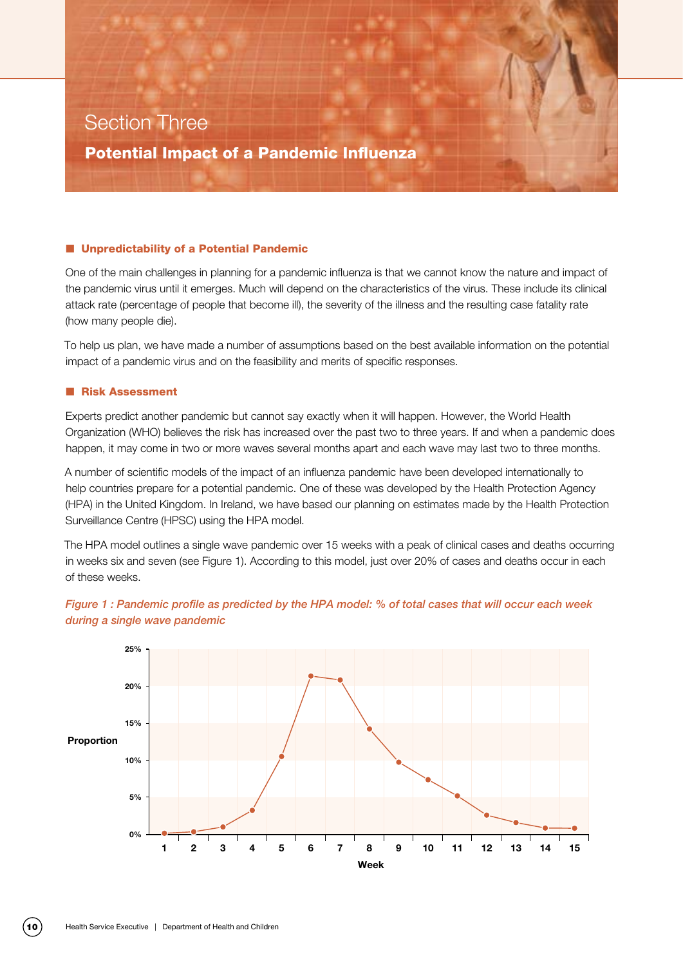# Section Three

Potential Impact of a Pandemic Influenza

#### ■ Unpredictability of a Potential Pandemic

One of the main challenges in planning for a pandemic influenza is that we cannot know the nature and impact of the pandemic virus until it emerges. Much will depend on the characteristics of the virus. These include its clinical attack rate (percentage of people that become ill), the severity of the illness and the resulting case fatality rate (how many people die).

To help us plan, we have made a number of assumptions based on the best available information on the potential impact of a pandemic virus and on the feasibility and merits of specific responses.

#### **n Risk Assessment**

Experts predict another pandemic but cannot say exactly when it will happen. However, the World Health Organization (WHO) believes the risk has increased over the past two to three years. If and when a pandemic does happen, it may come in two or more waves several months apart and each wave may last two to three months.

A number of scientific models of the impact of an influenza pandemic have been developed internationally to help countries prepare for a potential pandemic. One of these was developed by the Health Protection Agency (HPA) in the United Kingdom. In Ireland, we have based our planning on estimates made by the Health Protection Surveillance Centre (HPSC) using the HPA model.

The HPA model outlines a single wave pandemic over 15 weeks with a peak of clinical cases and deaths occurring in weeks six and seven (see Figure 1). According to this model, just over 20% of cases and deaths occur in each of these weeks.



*Figure 1 : Pandemic profile as predicted by the HPA model: % of total cases that will occur each week during a single wave pandemic*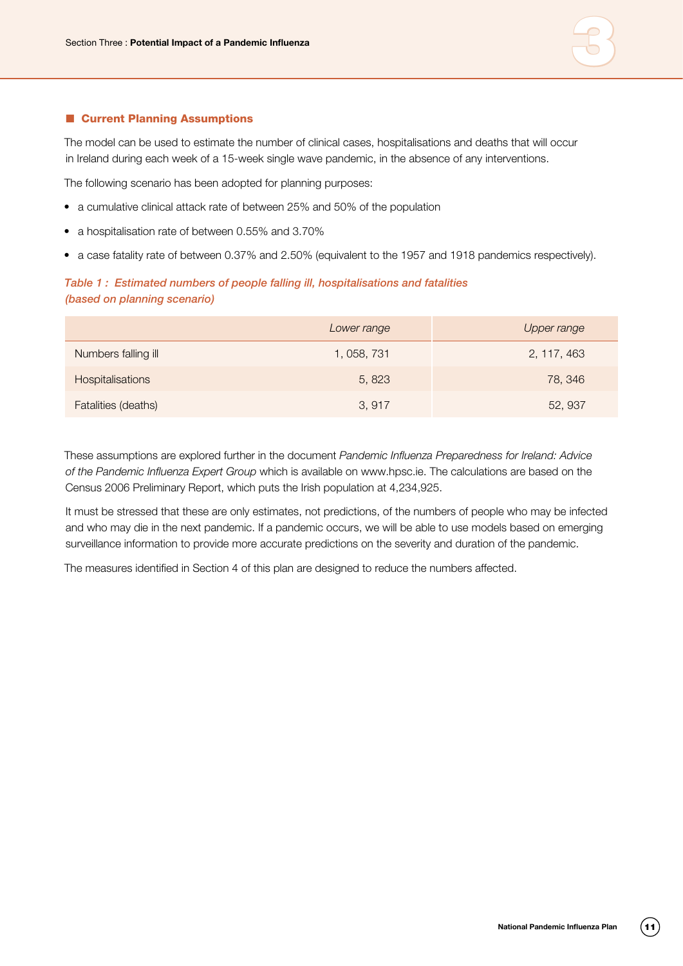

#### ■ Current Planning Assumptions

The model can be used to estimate the number of clinical cases, hospitalisations and deaths that will occur in Ireland during each week of a 15-week single wave pandemic, in the absence of any interventions.

The following scenario has been adopted for planning purposes:

- a cumulative clinical attack rate of between 25% and 50% of the population
- a hospitalisation rate of between 0.55% and 3.70%
- a case fatality rate of between 0.37% and 2.50% (equivalent to the 1957 and 1918 pandemics respectively).

#### *Table 1 : Estimated numbers of people falling ill, hospitalisations and fatalities (based on planning scenario)*

|                     | Lower range | Upper range |
|---------------------|-------------|-------------|
| Numbers falling ill | 1, 058, 731 | 2, 117, 463 |
| Hospitalisations    | 5,823       | 78, 346     |
| Fatalities (deaths) | 3,917       | 52, 937     |

These assumptions are explored further in the document *Pandemic Influenza Preparedness for Ireland: Advice of the Pandemic Influenza Expert Group* which is available on www.hpsc.ie. The calculations are based on the Census 2006 Preliminary Report, which puts the Irish population at 4,234,925.

It must be stressed that these are only estimates, not predictions, of the numbers of people who may be infected and who may die in the next pandemic. If a pandemic occurs, we will be able to use models based on emerging surveillance information to provide more accurate predictions on the severity and duration of the pandemic.

The measures identified in Section 4 of this plan are designed to reduce the numbers affected.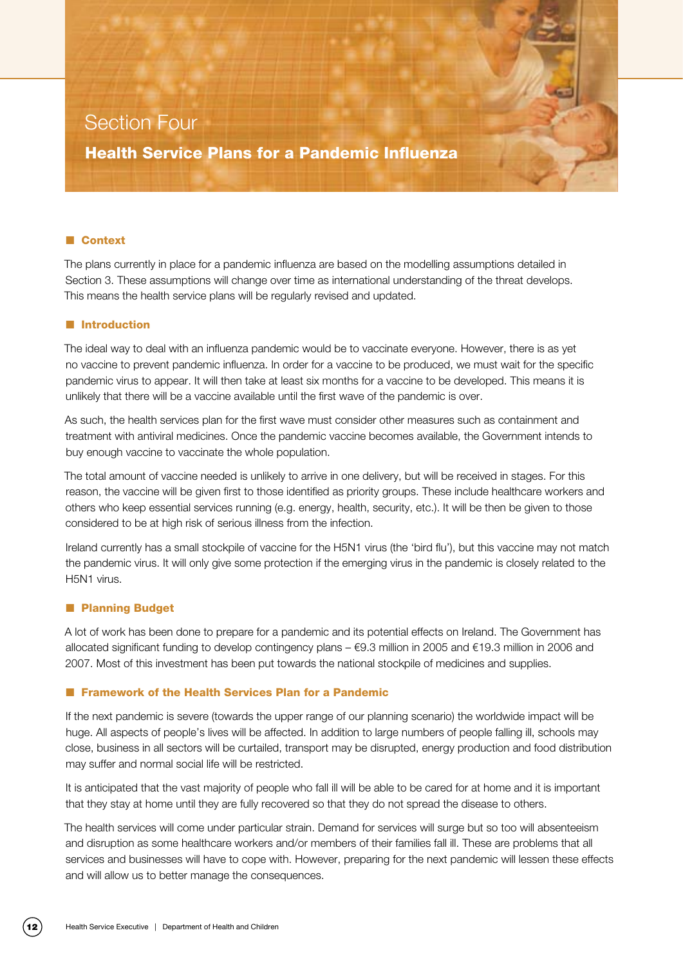## Section Four

Health Service Plans for a Pandemic Influenza

#### ■ Context

The plans currently in place for a pandemic influenza are based on the modelling assumptions detailed in Section 3. These assumptions will change over time as international understanding of the threat develops. This means the health service plans will be regularly revised and updated.

#### **n** Introduction

The ideal way to deal with an influenza pandemic would be to vaccinate everyone. However, there is as yet no vaccine to prevent pandemic influenza. In order for a vaccine to be produced, we must wait for the specific pandemic virus to appear. It will then take at least six months for a vaccine to be developed. This means it is unlikely that there will be a vaccine available until the first wave of the pandemic is over.

As such, the health services plan for the first wave must consider other measures such as containment and treatment with antiviral medicines. Once the pandemic vaccine becomes available, the Government intends to buy enough vaccine to vaccinate the whole population.

The total amount of vaccine needed is unlikely to arrive in one delivery, but will be received in stages. For this reason, the vaccine will be given first to those identified as priority groups. These include healthcare workers and others who keep essential services running (e.g. energy, health, security, etc.). It will be then be given to those considered to be at high risk of serious illness from the infection.

Ireland currently has a small stockpile of vaccine for the H5N1 virus (the 'bird flu'), but this vaccine may not match the pandemic virus. It will only give some protection if the emerging virus in the pandemic is closely related to the H5N1 virus.

#### **n** Planning Budget

A lot of work has been done to prepare for a pandemic and its potential effects on Ireland. The Government has allocated significant funding to develop contingency plans – €9.3 million in 2005 and €19.3 million in 2006 and 2007. Most of this investment has been put towards the national stockpile of medicines and supplies.

#### ■ Framework of the Health Services Plan for a Pandemic

If the next pandemic is severe (towards the upper range of our planning scenario) the worldwide impact will be huge. All aspects of people's lives will be affected. In addition to large numbers of people falling ill, schools may close, business in all sectors will be curtailed, transport may be disrupted, energy production and food distribution may suffer and normal social life will be restricted.

It is anticipated that the vast majority of people who fall ill will be able to be cared for at home and it is important that they stay at home until they are fully recovered so that they do not spread the disease to others.

The health services will come under particular strain. Demand for services will surge but so too will absenteeism and disruption as some healthcare workers and/or members of their families fall ill. These are problems that all services and businesses will have to cope with. However, preparing for the next pandemic will lessen these effects and will allow us to better manage the consequences.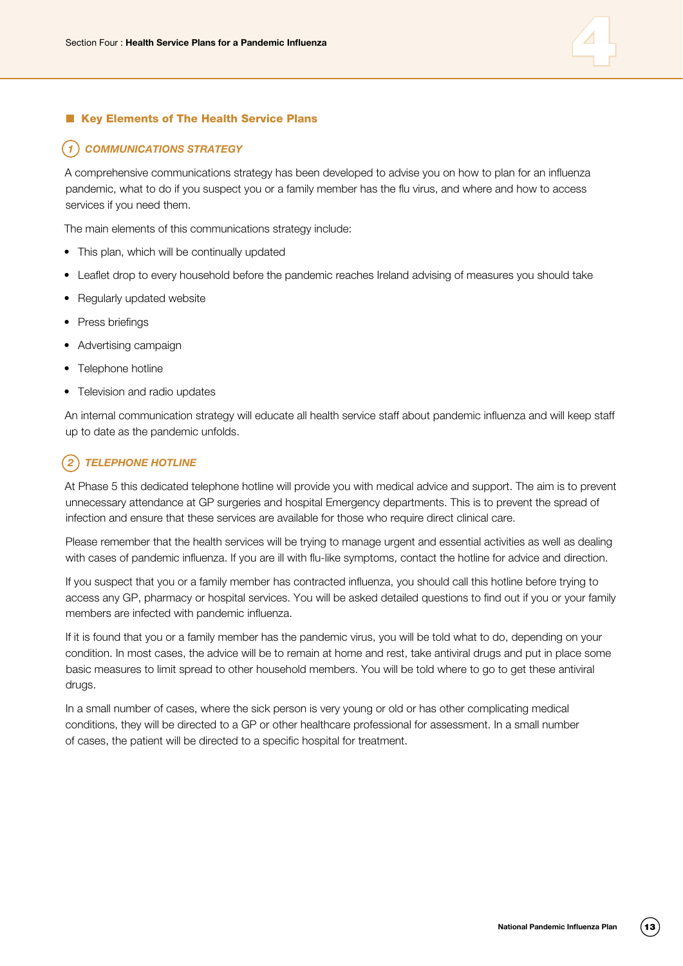

#### ■ Key Elements of The Health Service Plans

#### *1 COMMUNICATIONS STRATEGY*

A comprehensive communications strategy has been developed to advise you on how to plan for an influenza pandemic, what to do if you suspect you or a family member has the flu virus, and where and how to access services if you need them.

The main elements of this communications strategy include:

- This plan, which will be continually updated
- Leaflet drop to every household before the pandemic reaches Ireland advising of measures you should take
- Regularly updated website
- Press briefings
- Advertising campaign
- Telephone hotline
- Television and radio updates

An internal communication strategy will educate all health service staff about pandemic influenza and will keep staff up to date as the pandemic unfolds.

#### *2 TELEPHONE HOTLINE*

At Phase 5 this dedicated telephone hotline will provide you with medical advice and support. The aim is to prevent unnecessary attendance at GP surgeries and hospital Emergency departments. This is to prevent the spread of infection and ensure that these services are available for those who require direct clinical care.

Please remember that the health services will be trying to manage urgent and essential activities as well as dealing with cases of pandemic influenza. If you are ill with flu-like symptoms, contact the hotline for advice and direction.

If you suspect that you or a family member has contracted influenza, you should call this hotline before trying to access any GP, pharmacy or hospital services. You will be asked detailed questions to find out if you or your family members are infected with pandemic influenza.

If it is found that you or a family member has the pandemic virus, you will be told what to do, depending on your condition. In most cases, the advice will be to remain at home and rest, take antiviral drugs and put in place some basic measures to limit spread to other household members. You will be told where to go to get these antiviral drugs.

In a small number of cases, where the sick person is very young or old or has other complicating medical conditions, they will be directed to a GP or other healthcare professional for assessment. In a small number of cases, the patient will be directed to a specific hospital for treatment.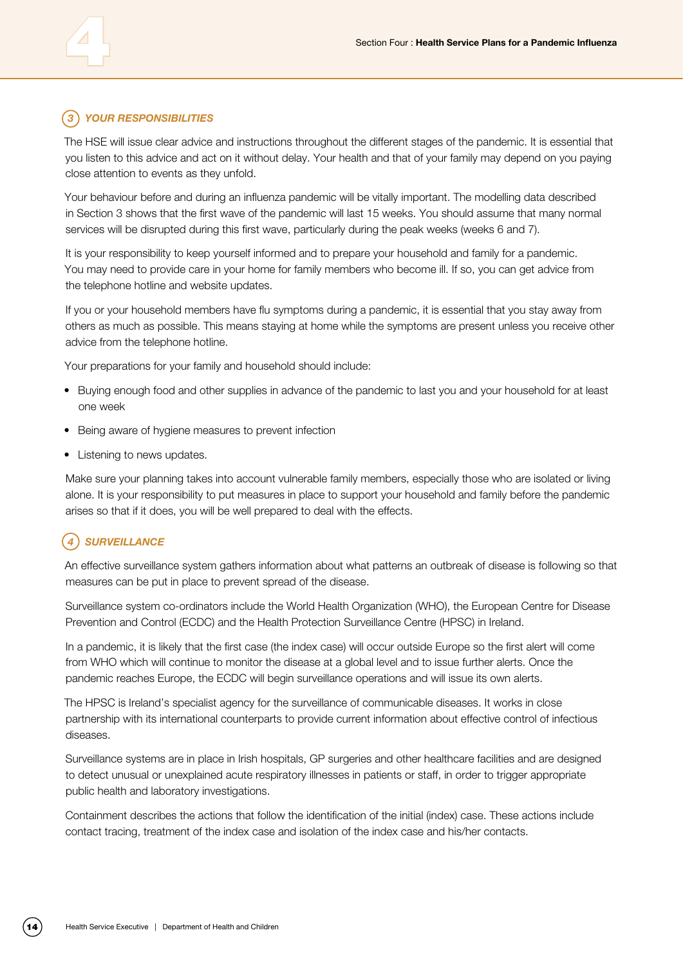### *3 YOUR RESPONSIBILITIES*

The HSE will issue clear advice and instructions throughout the different stages of the pandemic. It is essential that you listen to this advice and act on it without delay. Your health and that of your family may depend on you paying close attention to events as they unfold.

Your behaviour before and during an influenza pandemic will be vitally important. The modelling data described in Section 3 shows that the first wave of the pandemic will last 15 weeks. You should assume that many normal services will be disrupted during this first wave, particularly during the peak weeks (weeks 6 and 7).

It is your responsibility to keep yourself informed and to prepare your household and family for a pandemic. You may need to provide care in your home for family members who become ill. If so, you can get advice from the telephone hotline and website updates.

If you or your household members have flu symptoms during a pandemic, it is essential that you stay away from others as much as possible. This means staying at home while the symptoms are present unless you receive other advice from the telephone hotline.

Your preparations for your family and household should include:

- Buying enough food and other supplies in advance of the pandemic to last you and your household for at least one week
- Being aware of hygiene measures to prevent infection
- Listening to news updates.

Make sure your planning takes into account vulnerable family members, especially those who are isolated or living alone. It is your responsibility to put measures in place to support your household and family before the pandemic arises so that if it does, you will be well prepared to deal with the effects.

### *4 Surveillance*

An effective surveillance system gathers information about what patterns an outbreak of disease is following so that measures can be put in place to prevent spread of the disease.

Surveillance system co-ordinators include the World Health Organization (WHO), the European Centre for Disease Prevention and Control (ECDC) and the Health Protection Surveillance Centre (HPSC) in Ireland.

In a pandemic, it is likely that the first case (the index case) will occur outside Europe so the first alert will come from WHO which will continue to monitor the disease at a global level and to issue further alerts. Once the pandemic reaches Europe, the ECDC will begin surveillance operations and will issue its own alerts.

The HPSC is Ireland's specialist agency for the surveillance of communicable diseases. It works in close partnership with its international counterparts to provide current information about effective control of infectious diseases.

Surveillance systems are in place in Irish hospitals, GP surgeries and other healthcare facilities and are designed to detect unusual or unexplained acute respiratory illnesses in patients or staff, in order to trigger appropriate public health and laboratory investigations.

Containment describes the actions that follow the identification of the initial (index) case. These actions include contact tracing, treatment of the index case and isolation of the index case and his/her contacts.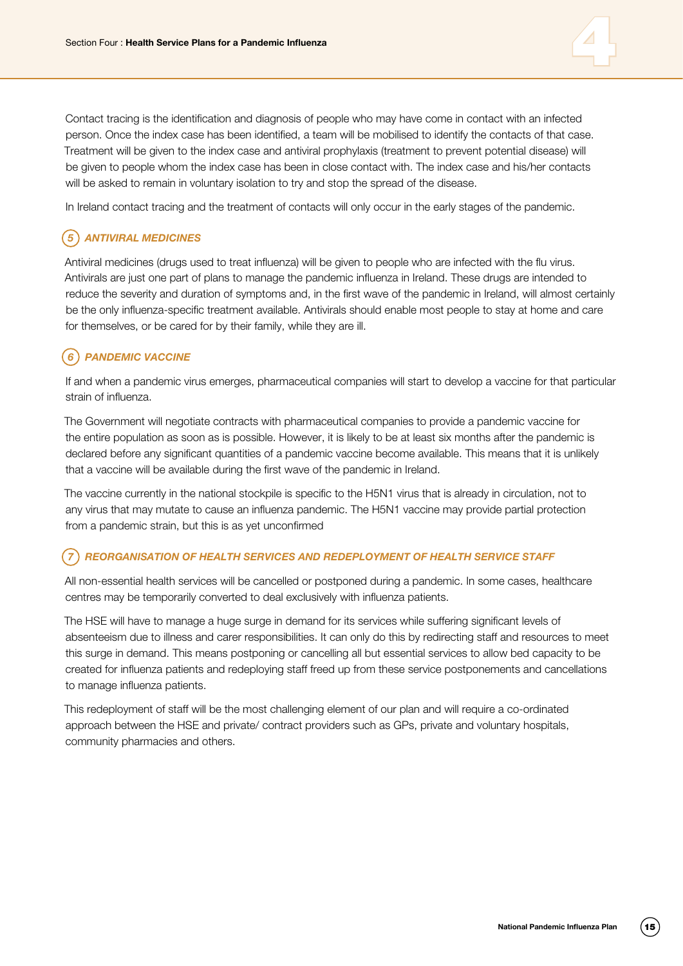

Contact tracing is the identification and diagnosis of people who may have come in contact with an infected person. Once the index case has been identified, a team will be mobilised to identify the contacts of that case. Treatment will be given to the index case and antiviral prophylaxis (treatment to prevent potential disease) will be given to people whom the index case has been in close contact with. The index case and his/her contacts will be asked to remain in voluntary isolation to try and stop the spread of the disease.

In Ireland contact tracing and the treatment of contacts will only occur in the early stages of the pandemic.

#### *5 Antiviral medicines*

Antiviral medicines (drugs used to treat influenza) will be given to people who are infected with the flu virus. Antivirals are just one part of plans to manage the pandemic influenza in Ireland. These drugs are intended to reduce the severity and duration of symptoms and, in the first wave of the pandemic in Ireland, will almost certainly be the only influenza-specific treatment available. Antivirals should enable most people to stay at home and care for themselves, or be cared for by their family, while they are ill.

#### *6 Pandemic vaccine*

If and when a pandemic virus emerges, pharmaceutical companies will start to develop a vaccine for that particular strain of influenza.

The Government will negotiate contracts with pharmaceutical companies to provide a pandemic vaccine for the entire population as soon as is possible. However, it is likely to be at least six months after the pandemic is declared before any significant quantities of a pandemic vaccine become available. This means that it is unlikely that a vaccine will be available during the first wave of the pandemic in Ireland.

The vaccine currently in the national stockpile is specific to the H5N1 virus that is already in circulation, not to any virus that may mutate to cause an influenza pandemic. The H5N1 vaccine may provide partial protection from a pandemic strain, but this is as yet unconfirmed

#### *7 Reorganisation of health services and redeployment of health service staff*

All non-essential health services will be cancelled or postponed during a pandemic. In some cases, healthcare centres may be temporarily converted to deal exclusively with influenza patients.

The HSE will have to manage a huge surge in demand for its services while suffering significant levels of absenteeism due to illness and carer responsibilities. It can only do this by redirecting staff and resources to meet this surge in demand. This means postponing or cancelling all but essential services to allow bed capacity to be created for influenza patients and redeploying staff freed up from these service postponements and cancellations to manage influenza patients.

This redeployment of staff will be the most challenging element of our plan and will require a co-ordinated approach between the HSE and private/ contract providers such as GPs, private and voluntary hospitals, community pharmacies and others.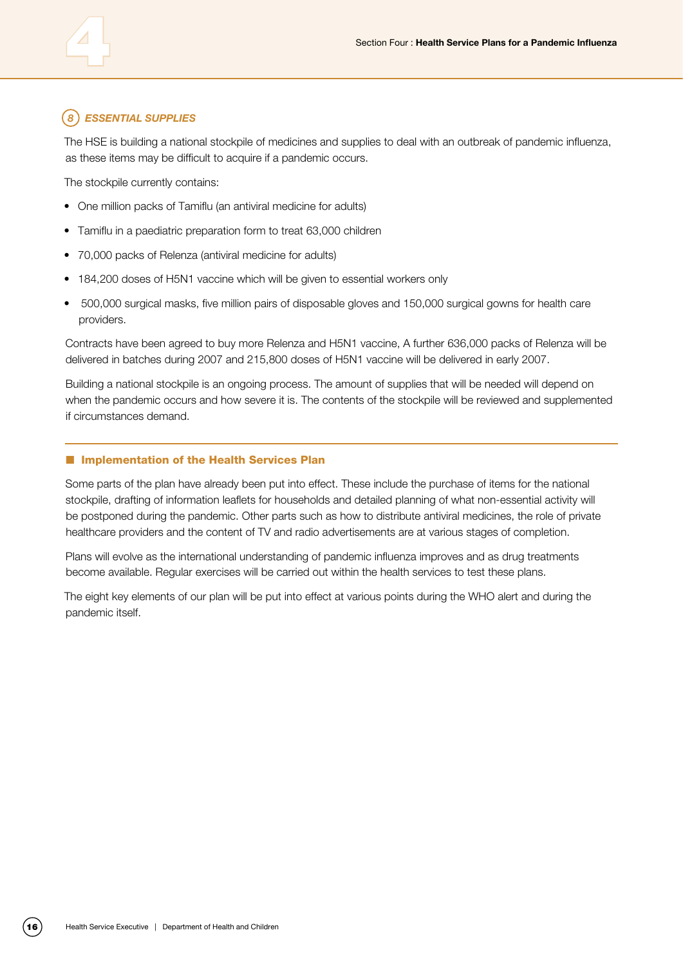#### *8 Essential supplies*

The HSE is building a national stockpile of medicines and supplies to deal with an outbreak of pandemic influenza, as these items may be difficult to acquire if a pandemic occurs.

The stockpile currently contains:

- One million packs of Tamiflu (an antiviral medicine for adults)
- Tamiflu in a paediatric preparation form to treat 63,000 children
- • 70,000 packs of Relenza (antiviral medicine for adults)
- 184,200 doses of H5N1 vaccine which will be given to essential workers only
- • 500,000 surgical masks, five million pairs of disposable gloves and 150,000 surgical gowns for health care providers.

Contracts have been agreed to buy more Relenza and H5N1 vaccine, A further 636,000 packs of Relenza will be delivered in batches during 2007 and 215,800 doses of H5N1 vaccine will be delivered in early 2007.

Building a national stockpile is an ongoing process. The amount of supplies that will be needed will depend on when the pandemic occurs and how severe it is. The contents of the stockpile will be reviewed and supplemented if circumstances demand.

#### **n** Implementation of the Health Services Plan

Some parts of the plan have already been put into effect. These include the purchase of items for the national stockpile, drafting of information leaflets for households and detailed planning of what non-essential activity will be postponed during the pandemic. Other parts such as how to distribute antiviral medicines, the role of private healthcare providers and the content of TV and radio advertisements are at various stages of completion.

Plans will evolve as the international understanding of pandemic influenza improves and as drug treatments become available. Regular exercises will be carried out within the health services to test these plans.

The eight key elements of our plan will be put into effect at various points during the WHO alert and during the pandemic itself.

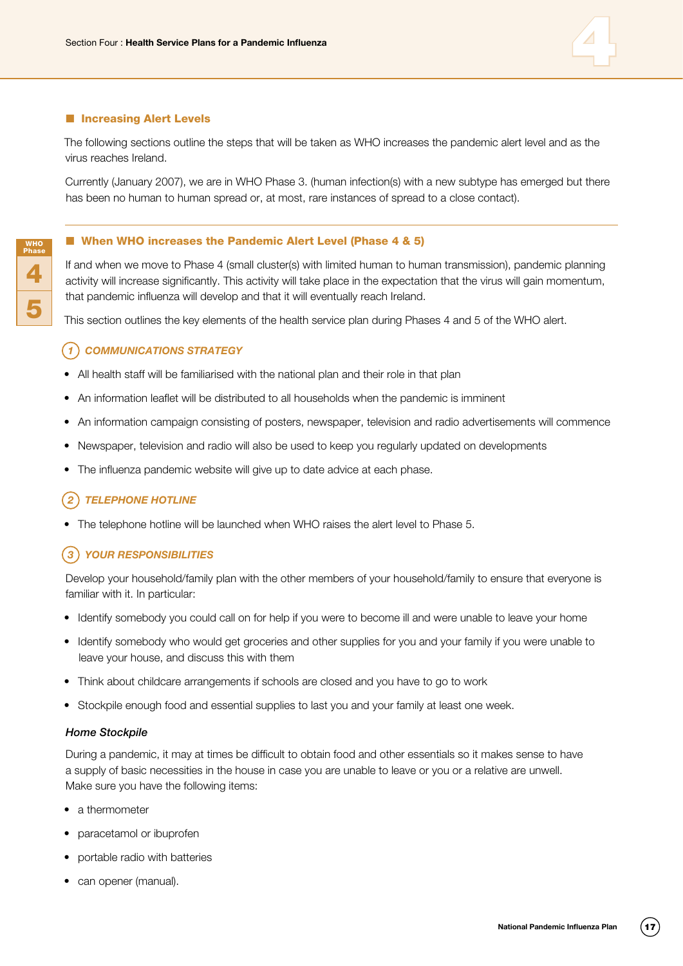

#### **n** Increasing Alert Levels

WHO Phase

4

5

The following sections outline the steps that will be taken as WHO increases the pandemic alert level and as the virus reaches Ireland.

Currently (January 2007), we are in WHO Phase 3. (human infection(s) with a new subtype has emerged but there has been no human to human spread or, at most, rare instances of spread to a close contact).

#### ■ When WHO increases the Pandemic Alert Level (Phase 4 & 5)

If and when we move to Phase 4 (small cluster(s) with limited human to human transmission), pandemic planning activity will increase significantly. This activity will take place in the expectation that the virus will gain momentum, that pandemic influenza will develop and that it will eventually reach Ireland.

This section outlines the key elements of the health service plan during Phases 4 and 5 of the WHO alert.

#### *1 Communications strategy*

- All health staff will be familiarised with the national plan and their role in that plan
- An information leaflet will be distributed to all households when the pandemic is imminent
- • An information campaign consisting of posters, newspaper, television and radio advertisements will commence
- Newspaper, television and radio will also be used to keep you regularly updated on developments
- The influenza pandemic website will give up to date advice at each phase.

#### *2 Telephone hotline*

The telephone hotline will be launched when WHO raises the alert level to Phase 5.

#### *3 Your responsibilities*

Develop your household/family plan with the other members of your household/family to ensure that everyone is familiar with it. In particular:

- Identify somebody you could call on for help if you were to become ill and were unable to leave your home
- Identify somebody who would get groceries and other supplies for you and your family if you were unable to leave your house, and discuss this with them
- Think about childcare arrangements if schools are closed and you have to go to work
- Stockpile enough food and essential supplies to last you and your family at least one week.

#### *Home Stockpile*

During a pandemic, it may at times be difficult to obtain food and other essentials so it makes sense to have a supply of basic necessities in the house in case you are unable to leave or you or a relative are unwell. Make sure you have the following items:

- a thermometer
- paracetamol or ibuprofen
- portable radio with batteries
- can opener (manual).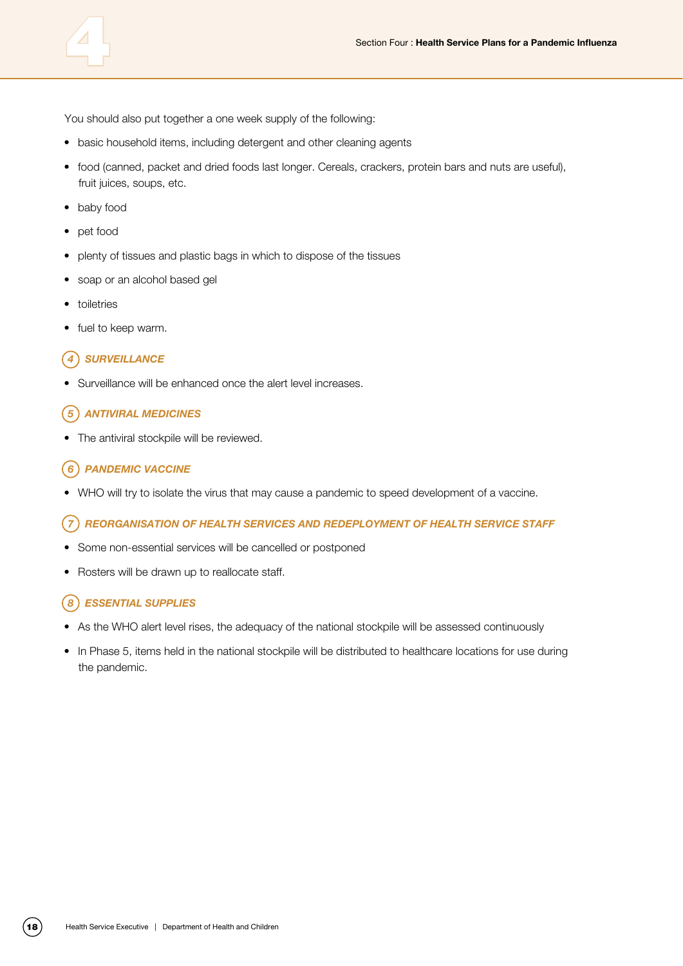

You should also put together a one week supply of the following:

- basic household items, including detergent and other cleaning agents
- food (canned, packet and dried foods last longer. Cereals, crackers, protein bars and nuts are useful), fruit juices, soups, etc.
- baby food
- • pet food
- plenty of tissues and plastic bags in which to dispose of the tissues
- soap or an alcohol based gel
- • toiletries
- fuel to keep warm.

#### *4 Surveillance*

Surveillance will be enhanced once the alert level increases.

#### *5 Antiviral medicines*

The antiviral stockpile will be reviewed.

#### *6 Pandemic vaccine*

• WHO will try to isolate the virus that may cause a pandemic to speed development of a vaccine.

#### *7 Reorganisation of health services and redeployment of health service staff*

- Some non-essential services will be cancelled or postponed
- Rosters will be drawn up to reallocate staff.

#### *8 Essential supplies*

- As the WHO alert level rises, the adequacy of the national stockpile will be assessed continuously
- In Phase 5, items held in the national stockpile will be distributed to healthcare locations for use during the pandemic.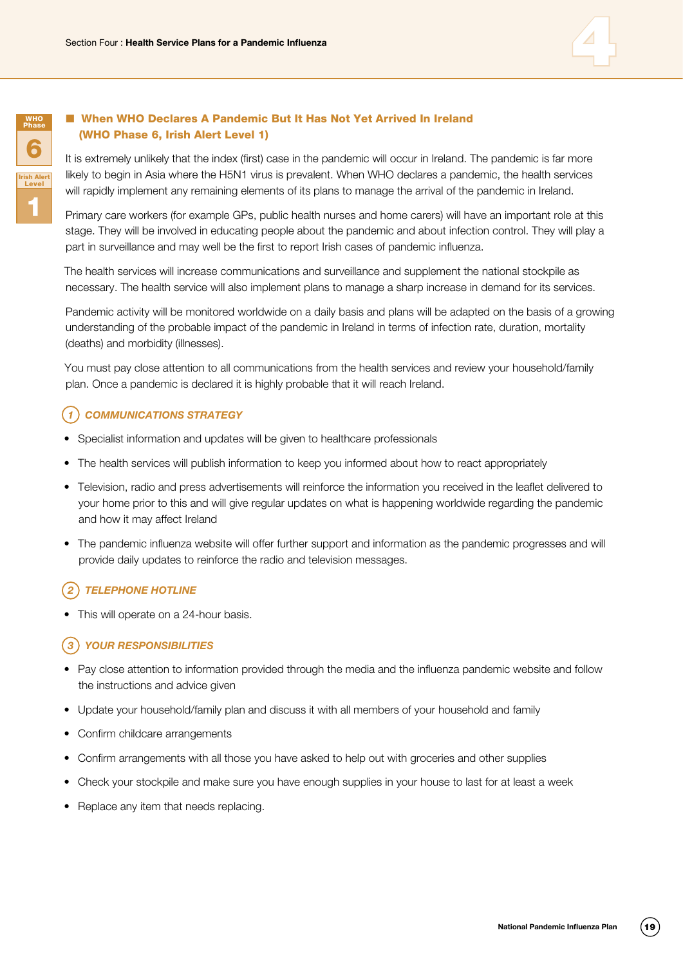



#### ■ When WHO Declares A Pandemic But It Has Not Yet Arrived In Ireland (WHO Phase 6, Irish Alert Level 1)

It is extremely unlikely that the index (first) case in the pandemic will occur in Ireland. The pandemic is far more likely to begin in Asia where the H5N1 virus is prevalent. When WHO declares a pandemic, the health services will rapidly implement any remaining elements of its plans to manage the arrival of the pandemic in Ireland.

Primary care workers (for example GPs, public health nurses and home carers) will have an important role at this stage. They will be involved in educating people about the pandemic and about infection control. They will play a part in surveillance and may well be the first to report Irish cases of pandemic influenza.

The health services will increase communications and surveillance and supplement the national stockpile as necessary. The health service will also implement plans to manage a sharp increase in demand for its services.

Pandemic activity will be monitored worldwide on a daily basis and plans will be adapted on the basis of a growing understanding of the probable impact of the pandemic in Ireland in terms of infection rate, duration, mortality (deaths) and morbidity (illnesses).

You must pay close attention to all communications from the health services and review your household/family plan. Once a pandemic is declared it is highly probable that it will reach Ireland.

#### *1 Communications strategy*

- Specialist information and updates will be given to healthcare professionals
- The health services will publish information to keep you informed about how to react appropriately
- • Television, radio and press advertisements will reinforce the information you received in the leaflet delivered to your home prior to this and will give regular updates on what is happening worldwide regarding the pandemic and how it may affect Ireland
- The pandemic influenza website will offer further support and information as the pandemic progresses and will provide daily updates to reinforce the radio and television messages.

#### *2 Telephone hotline*

• This will operate on a 24-hour basis.

#### *3 Your responsibilities*

- Pay close attention to information provided through the media and the influenza pandemic website and follow the instructions and advice given
- Update your household/family plan and discuss it with all members of your household and family
- • Confirm childcare arrangements
- Confirm arrangements with all those you have asked to help out with groceries and other supplies
- Check your stockpile and make sure you have enough supplies in your house to last for at least a week
- Replace any item that needs replacing.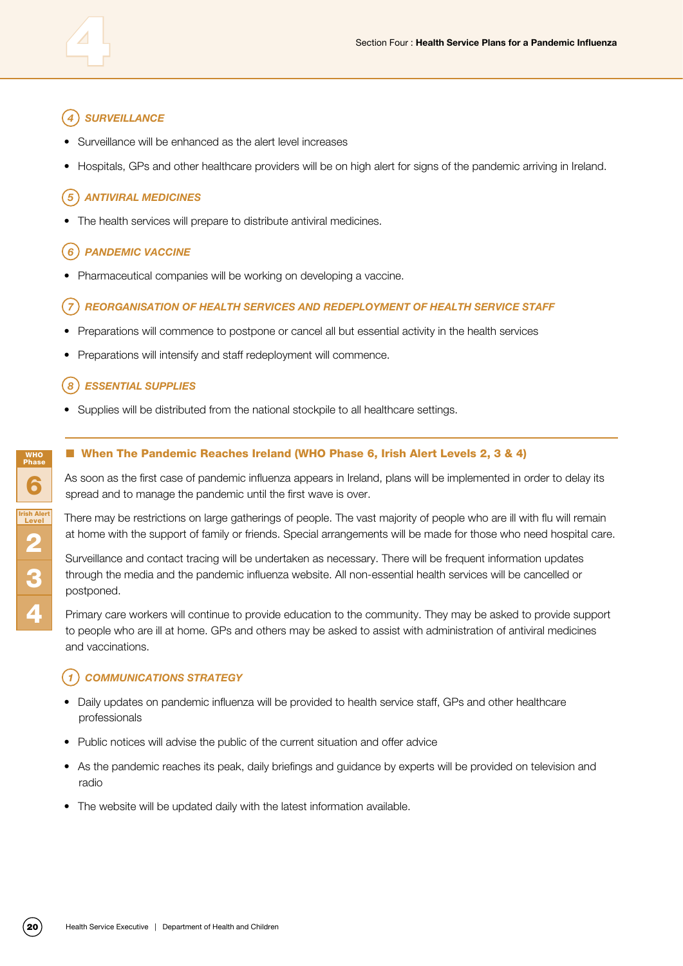### *4 Surveillance*

- Surveillance will be enhanced as the alert level increases
- Hospitals, GPs and other healthcare providers will be on high alert for signs of the pandemic arriving in Ireland.

#### *5 Antiviral medicines*

The health services will prepare to distribute antiviral medicines.

#### *6 Pandemic vaccine*

Pharmaceutical companies will be working on developing a vaccine.

#### *7 Reorganisation of health services and redeployment of health service staff*

- Preparations will commence to postpone or cancel all but essential activity in the health services
- Preparations will intensify and staff redeployment will commence.

#### *8 Essential supplies*

Supplies will be distributed from the national stockpile to all healthcare settings.

#### ■ When The Pandemic Reaches Ireland (WHO Phase 6, Irish Alert Levels 2, 3 & 4)

As soon as the first case of pandemic influenza appears in Ireland, plans will be implemented in order to delay its spread and to manage the pandemic until the first wave is over.

There may be restrictions on large gatherings of people. The vast majority of people who are ill with flu will remain at home with the support of family or friends. Special arrangements will be made for those who need hospital care.

Surveillance and contact tracing will be undertaken as necessary. There will be frequent information updates through the media and the pandemic influenza website. All non-essential health services will be cancelled or postponed.

Primary care workers will continue to provide education to the community. They may be asked to provide support to people who are ill at home. GPs and others may be asked to assist with administration of antiviral medicines and vaccinations.

#### *1 Communications strategy*

- Daily updates on pandemic influenza will be provided to health service staff, GPs and other healthcare professionals
- Public notices will advise the public of the current situation and offer advice
- As the pandemic reaches its peak, daily briefings and guidance by experts will be provided on television and radio
- The website will be updated daily with the latest information available.

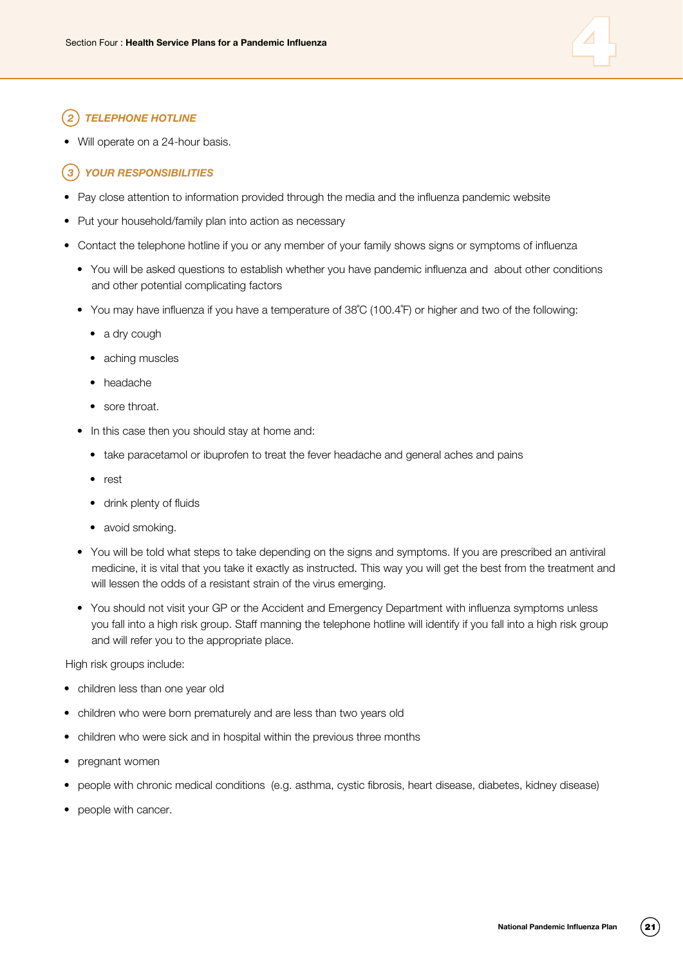

#### *2 Telephone hotline*

Will operate on a 24-hour basis.

#### *3 Your responsibilities*

- Pay close attention to information provided through the media and the influenza pandemic website
- Put your household/family plan into action as necessary
- Contact the telephone hotline if you or any member of your family shows signs or symptoms of influenza
	- You will be asked questions to establish whether you have pandemic influenza and about other conditions and other potential complicating factors
	- You may have influenza if you have a temperature of 38°C (100.4°F) or higher and two of the following:
		- a dry cough
		- aching muscles
		- • headache
		- sore throat.
	- In this case then you should stay at home and:
		- take paracetamol or ibuprofen to treat the fever headache and general aches and pains
		- • rest
		- drink plenty of fluids
		- avoid smoking.
	- • You will be told what steps to take depending on the signs and symptoms. If you are prescribed an antiviral medicine, it is vital that you take it exactly as instructed. This way you will get the best from the treatment and will lessen the odds of a resistant strain of the virus emerging.
	- You should not visit your GP or the Accident and Emergency Department with influenza symptoms unless you fall into a high risk group. Staff manning the telephone hotline will identify if you fall into a high risk group and will refer you to the appropriate place.

High risk groups include:

- children less than one year old
- children who were born prematurely and are less than two years old
- children who were sick and in hospital within the previous three months
- pregnant women
- people with chronic medical conditions (e.g. asthma, cystic fibrosis, heart disease, diabetes, kidney disease)
- people with cancer.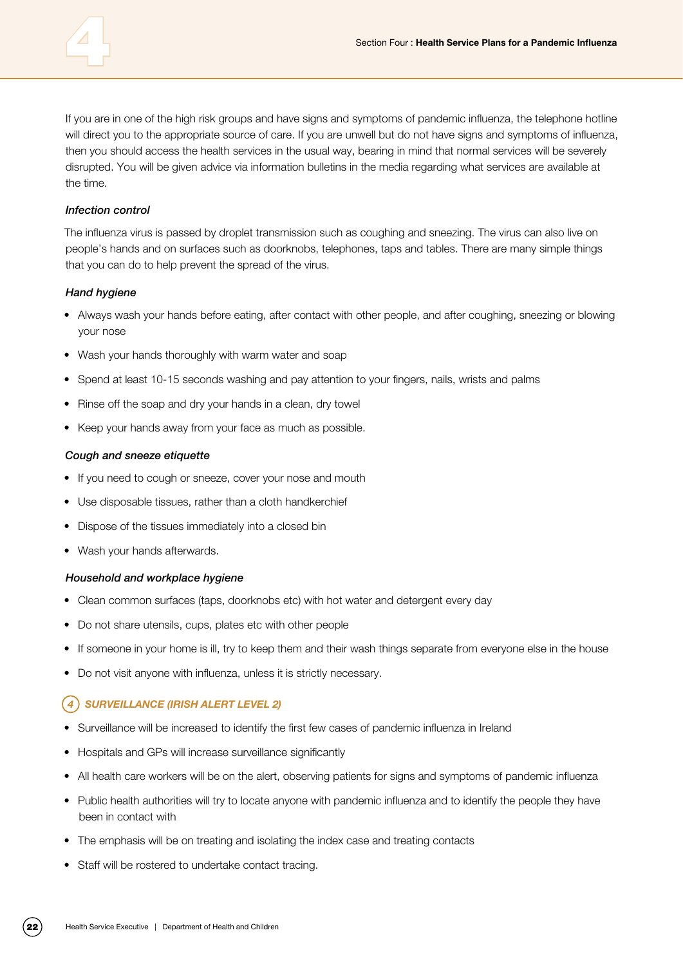If you are in one of the high risk groups and have signs and symptoms of pandemic influenza, the telephone hotline will direct you to the appropriate source of care. If you are unwell but do not have signs and symptoms of influenza, then you should access the health services in the usual way, bearing in mind that normal services will be severely disrupted. You will be given advice via information bulletins in the media regarding what services are available at the time.

#### *Infection control*

The influenza virus is passed by droplet transmission such as coughing and sneezing. The virus can also live on people's hands and on surfaces such as doorknobs, telephones, taps and tables. There are many simple things that you can do to help prevent the spread of the virus.

#### *Hand hygiene*

- Always wash your hands before eating, after contact with other people, and after coughing, sneezing or blowing your nose
- Wash your hands thoroughly with warm water and soap
- Spend at least 10-15 seconds washing and pay attention to your fingers, nails, wrists and palms
- Rinse off the soap and dry your hands in a clean, dry towel
- Keep your hands away from your face as much as possible.

#### *Cough and sneeze etiquette*

- If you need to cough or sneeze, cover your nose and mouth
- Use disposable tissues, rather than a cloth handkerchief
- Dispose of the tissues immediately into a closed bin
- Wash your hands afterwards.

#### *Household and workplace hygiene*

- Clean common surfaces (taps, doorknobs etc) with hot water and detergent every day
- Do not share utensils, cups, plates etc with other people
- If someone in your home is ill, try to keep them and their wash things separate from everyone else in the house
- Do not visit anyone with influenza, unless it is strictly necessary.

#### *4 Surveillance (Irish Alert Level 2)*

- Surveillance will be increased to identify the first few cases of pandemic influenza in Ireland
- Hospitals and GPs will increase surveillance significantly
- All health care workers will be on the alert, observing patients for signs and symptoms of pandemic influenza
- Public health authorities will try to locate anyone with pandemic influenza and to identify the people they have been in contact with
- The emphasis will be on treating and isolating the index case and treating contacts
- Staff will be rostered to undertake contact tracing.

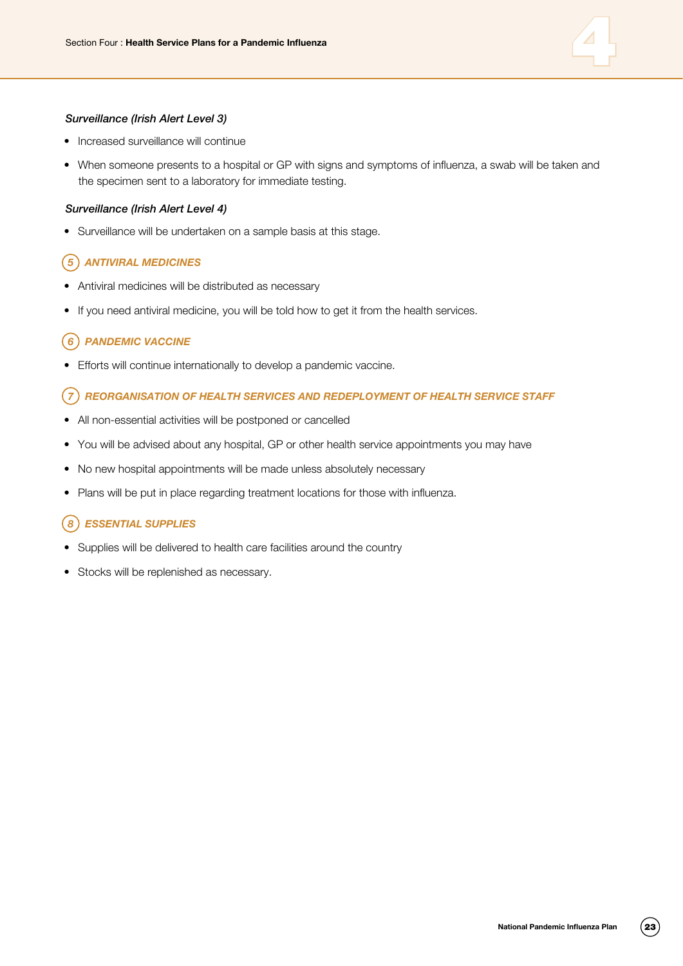

#### *Surveillance (Irish Alert Level 3)*

- Increased surveillance will continue
- When someone presents to a hospital or GP with signs and symptoms of influenza, a swab will be taken and the specimen sent to a laboratory for immediate testing.

#### *Surveillance (Irish Alert Level 4)*

• Surveillance will be undertaken on a sample basis at this stage.

#### *5 Antiviral medicines*

- Antiviral medicines will be distributed as necessary
- If you need antiviral medicine, you will be told how to get it from the health services.

#### *6 Pandemic vaccine*

• Efforts will continue internationally to develop a pandemic vaccine.

#### *7 Reorganisation of health services and redeployment of health service staff*

- All non-essential activities will be postponed or cancelled
- You will be advised about any hospital, GP or other health service appointments you may have
- No new hospital appointments will be made unless absolutely necessary
- Plans will be put in place regarding treatment locations for those with influenza.

#### *8 Essential supplies*

- Supplies will be delivered to health care facilities around the country
- Stocks will be replenished as necessary.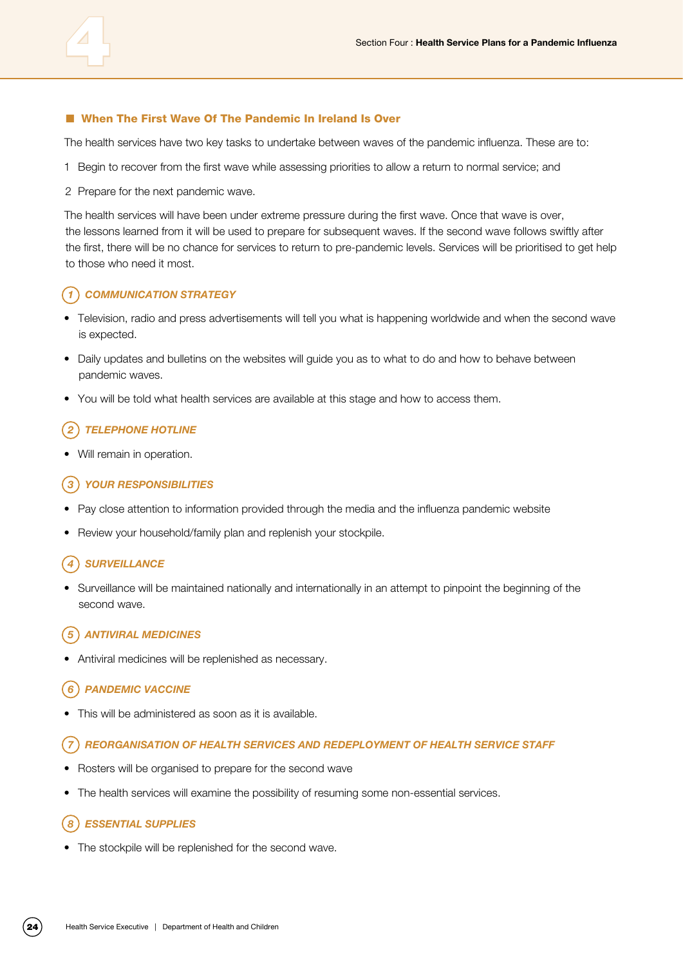#### ■ When The First Wave Of The Pandemic In Ireland Is Over

The health services have two key tasks to undertake between waves of the pandemic influenza. These are to:

- 1 Begin to recover from the first wave while assessing priorities to allow a return to normal service; and
- 2 Prepare for the next pandemic wave.

The health services will have been under extreme pressure during the first wave. Once that wave is over, the lessons learned from it will be used to prepare for subsequent waves. If the second wave follows swiftly after the first, there will be no chance for services to return to pre-pandemic levels. Services will be prioritised to get help to those who need it most.

#### *1 Communication strategy*

- Television, radio and press advertisements will tell you what is happening worldwide and when the second wave is expected.
- Daily updates and bulletins on the websites will guide you as to what to do and how to behave between pandemic waves.
- You will be told what health services are available at this stage and how to access them.

#### *2 Telephone hotline*

Will remain in operation.

#### *3 Your responsibilities*

- Pay close attention to information provided through the media and the influenza pandemic website
- Review your household/family plan and replenish your stockpile.

#### *4 Surveillance*

• Surveillance will be maintained nationally and internationally in an attempt to pinpoint the beginning of the second wave.

#### *5 Antiviral medicines*

Antiviral medicines will be replenished as necessary.

#### *6 Pandemic vaccine*

This will be administered as soon as it is available.

#### *7 Reorganisation of health services and redeployment of health service staff*

- Rosters will be organised to prepare for the second wave
- The health services will examine the possibility of resuming some non-essential services.

#### *8 Essential supplies*

• The stockpile will be replenished for the second wave.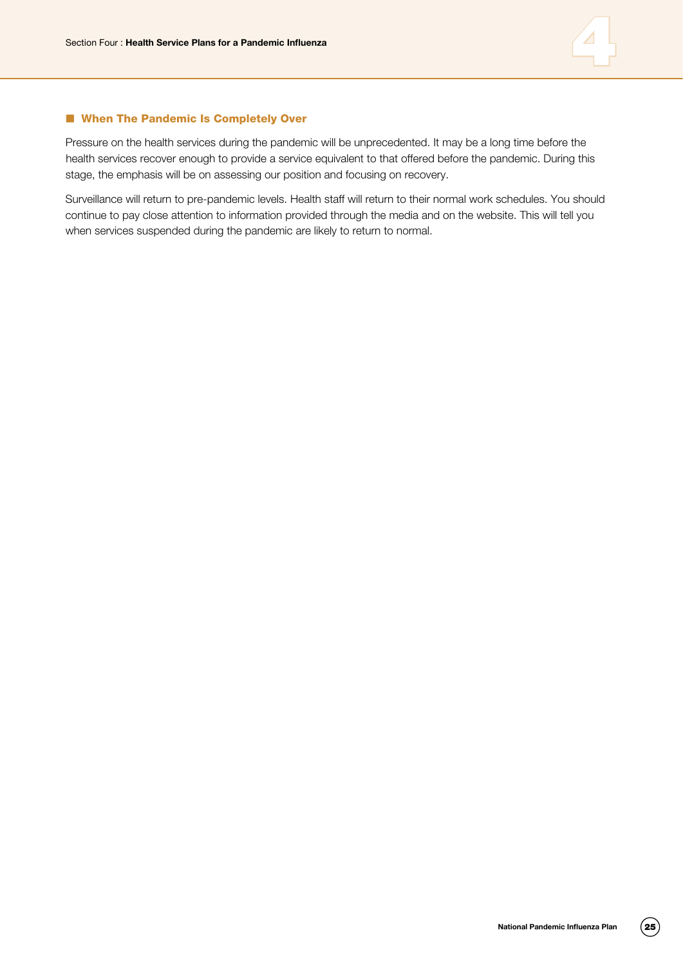

#### ■ When The Pandemic Is Completely Over

Pressure on the health services during the pandemic will be unprecedented. It may be a long time before the health services recover enough to provide a service equivalent to that offered before the pandemic. During this stage, the emphasis will be on assessing our position and focusing on recovery.

Surveillance will return to pre-pandemic levels. Health staff will return to their normal work schedules. You should continue to pay close attention to information provided through the media and on the website. This will tell you when services suspended during the pandemic are likely to return to normal.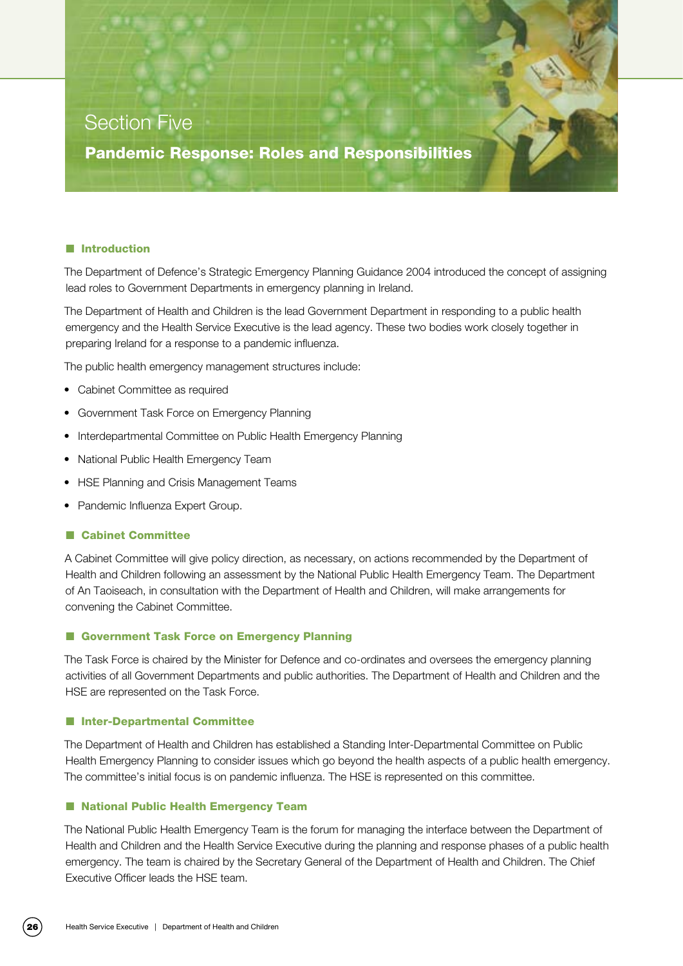# Section Five

Pandemic Response: Roles and Responsibilities

#### **n** Introduction

The Department of Defence's Strategic Emergency Planning Guidance 2004 introduced the concept of assigning lead roles to Government Departments in emergency planning in Ireland.

The Department of Health and Children is the lead Government Department in responding to a public health emergency and the Health Service Executive is the lead agency. These two bodies work closely together in preparing Ireland for a response to a pandemic influenza.

The public health emergency management structures include:

- • Cabinet Committee as required
- Government Task Force on Emergency Planning
- Interdepartmental Committee on Public Health Emergency Planning
- National Public Health Emergency Team
- HSE Planning and Crisis Management Teams
- Pandemic Influenza Expert Group.

#### ■ Cabinet Committee

A Cabinet Committee will give policy direction, as necessary, on actions recommended by the Department of Health and Children following an assessment by the National Public Health Emergency Team. The Department of An Taoiseach, in consultation with the Department of Health and Children, will make arrangements for convening the Cabinet Committee.

#### ■ Government Task Force on Emergency Planning

The Task Force is chaired by the Minister for Defence and co-ordinates and oversees the emergency planning activities of all Government Departments and public authorities. The Department of Health and Children and the HSE are represented on the Task Force.

#### ■ Inter-Departmental Committee

The Department of Health and Children has established a Standing Inter-Departmental Committee on Public Health Emergency Planning to consider issues which go beyond the health aspects of a public health emergency. The committee's initial focus is on pandemic influenza. The HSE is represented on this committee.

#### ■ National Public Health Emergency Team

The National Public Health Emergency Team is the forum for managing the interface between the Department of Health and Children and the Health Service Executive during the planning and response phases of a public health emergency. The team is chaired by the Secretary General of the Department of Health and Children. The Chief Executive Officer leads the HSE team.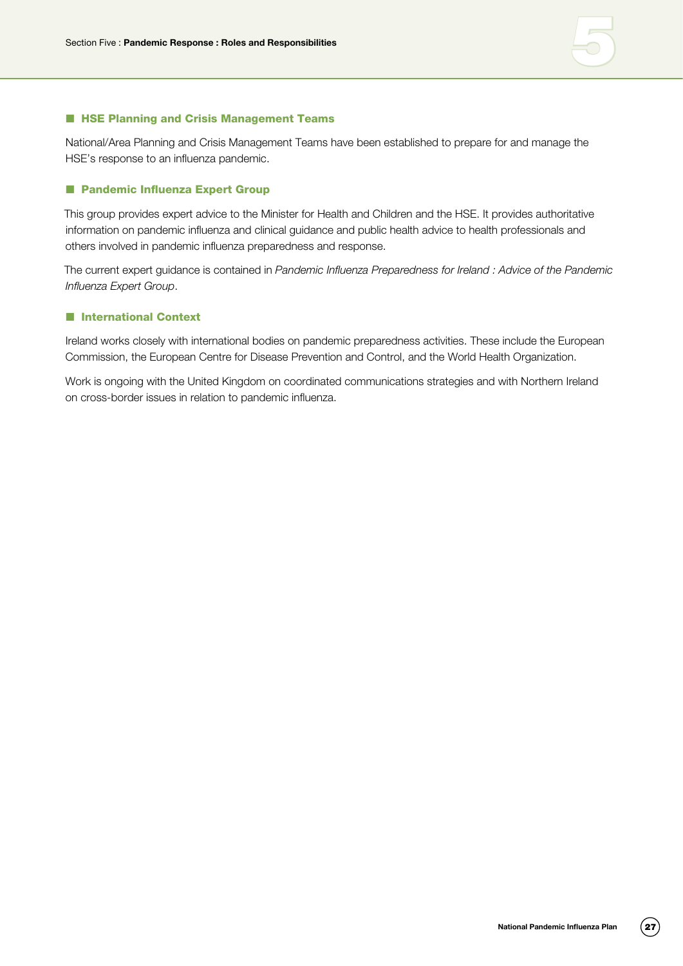

#### **n HSE Planning and Crisis Management Teams**

National/Area Planning and Crisis Management Teams have been established to prepare for and manage the HSE's response to an influenza pandemic.

#### ■ Pandemic Influenza Expert Group

This group provides expert advice to the Minister for Health and Children and the HSE. It provides authoritative information on pandemic influenza and clinical guidance and public health advice to health professionals and others involved in pandemic influenza preparedness and response.

The current expert guidance is contained in *Pandemic Influenza Preparedness for Ireland : Advice of the Pandemic Influenza Expert Group*.

#### **n** International Context

Ireland works closely with international bodies on pandemic preparedness activities. These include the European Commission, the European Centre for Disease Prevention and Control, and the World Health Organization.

Work is ongoing with the United Kingdom on coordinated communications strategies and with Northern Ireland on cross-border issues in relation to pandemic influenza.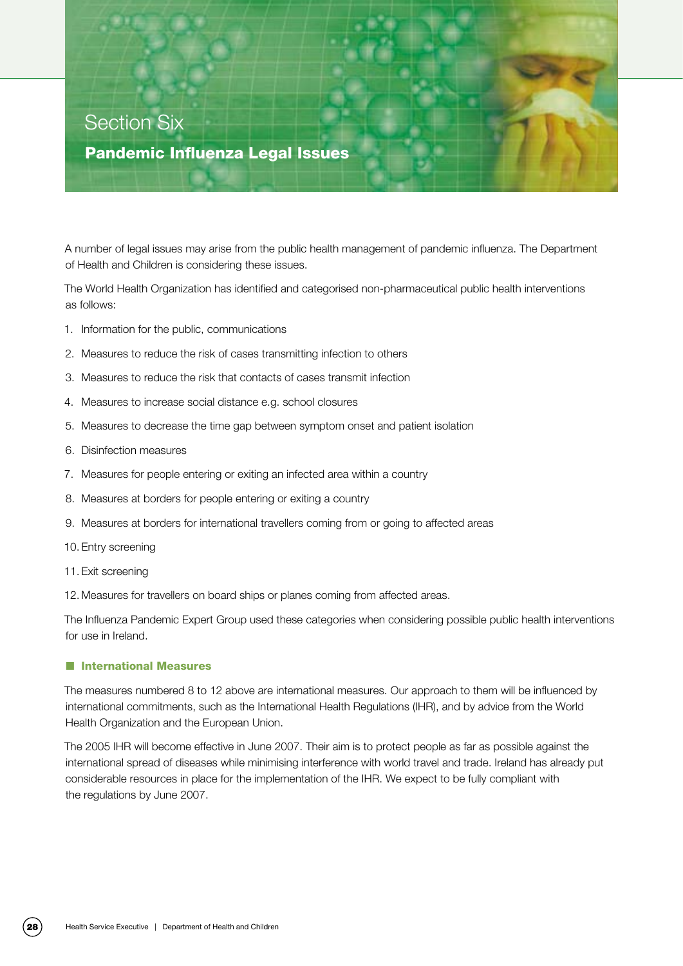# Section Six

#### Pandemic Influenza Legal Issues

A number of legal issues may arise from the public health management of pandemic influenza. The Department of Health and Children is considering these issues.

The World Health Organization has identified and categorised non-pharmaceutical public health interventions as follows:

- 1. Information for the public, communications
- 2. Measures to reduce the risk of cases transmitting infection to others
- 3. Measures to reduce the risk that contacts of cases transmit infection
- 4. Measures to increase social distance e.g. school closures
- 5. Measures to decrease the time gap between symptom onset and patient isolation
- 6. Disinfection measures
- 7. Measures for people entering or exiting an infected area within a country
- 8. Measures at borders for people entering or exiting a country
- 9. Measures at borders for international travellers coming from or going to affected areas
- 10. Entry screening
- 11. Exit screening
- 12. Measures for travellers on board ships or planes coming from affected areas.

The Influenza Pandemic Expert Group used these categories when considering possible public health interventions for use in Ireland.

#### **n** International Measures

The measures numbered 8 to 12 above are international measures. Our approach to them will be influenced by international commitments, such as the International Health Regulations (IHR), and by advice from the World Health Organization and the European Union.

The 2005 IHR will become effective in June 2007. Their aim is to protect people as far as possible against the international spread of diseases while minimising interference with world travel and trade. Ireland has already put considerable resources in place for the implementation of the IHR. We expect to be fully compliant with the regulations by June 2007.

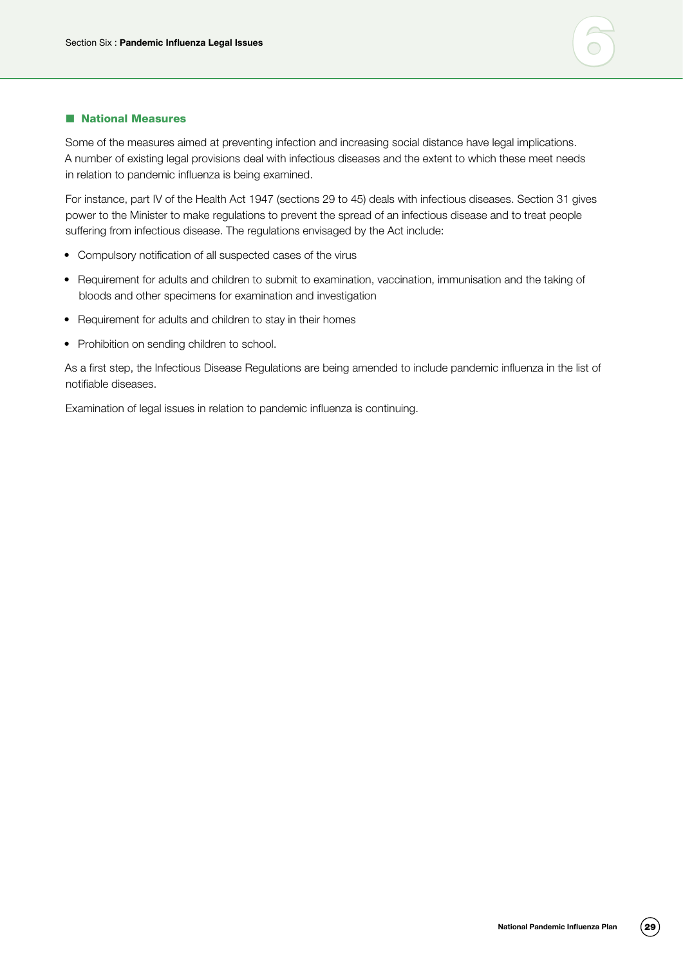

#### **National Measures**

Some of the measures aimed at preventing infection and increasing social distance have legal implications. A number of existing legal provisions deal with infectious diseases and the extent to which these meet needs in relation to pandemic influenza is being examined.

For instance, part IV of the Health Act 1947 (sections 29 to 45) deals with infectious diseases. Section 31 gives power to the Minister to make regulations to prevent the spread of an infectious disease and to treat people suffering from infectious disease. The regulations envisaged by the Act include:

- Compulsory notification of all suspected cases of the virus
- • Requirement for adults and children to submit to examination, vaccination, immunisation and the taking of bloods and other specimens for examination and investigation
- Requirement for adults and children to stay in their homes
- Prohibition on sending children to school.

As a first step, the Infectious Disease Regulations are being amended to include pandemic influenza in the list of notifiable diseases.

Examination of legal issues in relation to pandemic influenza is continuing.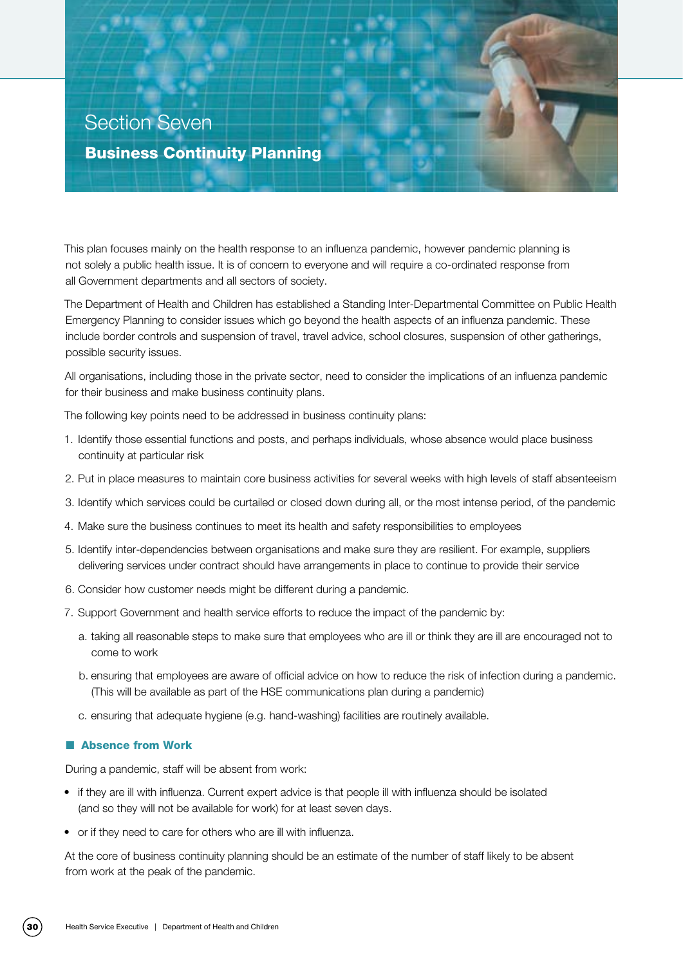

This plan focuses mainly on the health response to an influenza pandemic, however pandemic planning is not solely a public health issue. It is of concern to everyone and will require a co-ordinated response from all Government departments and all sectors of society.

The Department of Health and Children has established a Standing Inter-Departmental Committee on Public Health Emergency Planning to consider issues which go beyond the health aspects of an influenza pandemic. These include border controls and suspension of travel, travel advice, school closures, suspension of other gatherings, possible security issues.

All organisations, including those in the private sector, need to consider the implications of an influenza pandemic for their business and make business continuity plans.

The following key points need to be addressed in business continuity plans:

- 1. Identify those essential functions and posts, and perhaps individuals, whose absence would place business continuity at particular risk
- 2. Put in place measures to maintain core business activities for several weeks with high levels of staff absenteeism
- 3. Identify which services could be curtailed or closed down during all, or the most intense period, of the pandemic
- 4. Make sure the business continues to meet its health and safety responsibilities to employees
- 5. Identify inter-dependencies between organisations and make sure they are resilient. For example, suppliers delivering services under contract should have arrangements in place to continue to provide their service
- 6. Consider how customer needs might be different during a pandemic.
- 7. Support Government and health service efforts to reduce the impact of the pandemic by:
	- a. taking all reasonable steps to make sure that employees who are ill or think they are ill are encouraged not to come to work
	- b. ensuring that employees are aware of official advice on how to reduce the risk of infection during a pandemic. (This will be available as part of the HSE communications plan during a pandemic)
	- c. ensuring that adequate hygiene (e.g. hand-washing) facilities are routinely available.

#### **n** Absence from Work

During a pandemic, staff will be absent from work:

- if they are ill with influenza. Current expert advice is that people ill with influenza should be isolated (and so they will not be available for work) for at least seven days.
- or if they need to care for others who are ill with influenza.

At the core of business continuity planning should be an estimate of the number of staff likely to be absent from work at the peak of the pandemic.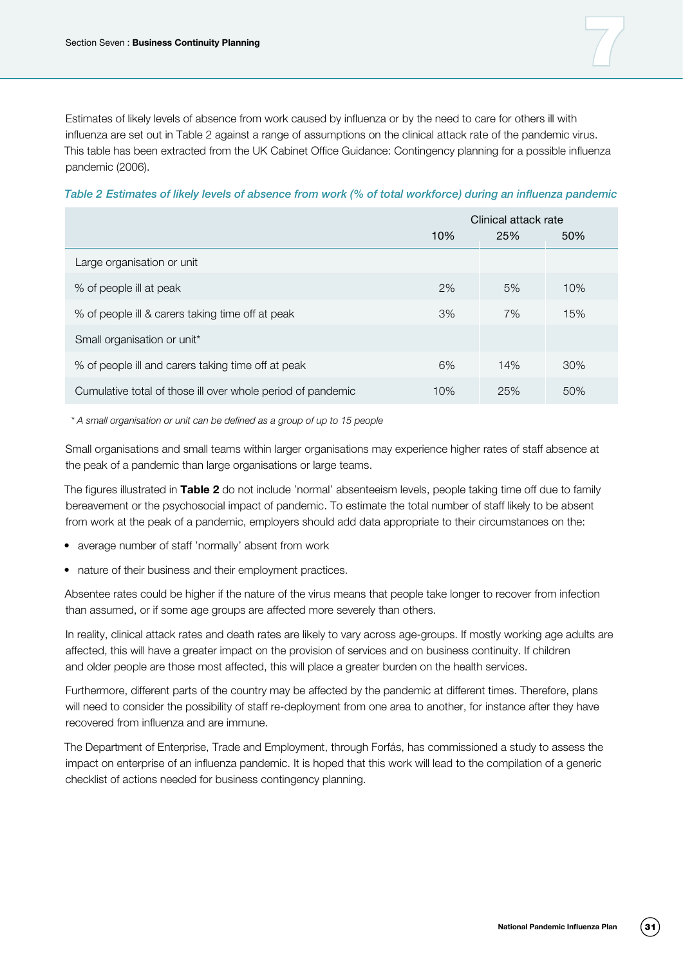Estimates of likely levels of absence from work caused by influenza or by the need to care for others ill with influenza are set out in Table 2 against a range of assumptions on the clinical attack rate of the pandemic virus. This table has been extracted from the UK Cabinet Office Guidance: Contingency planning for a possible influenza pandemic (2006).

#### *Table 2 Estimates of likely levels of absence from work (% of total workforce) during an influenza pandemic*

|                                                             | Clinical attack rate |     |     |
|-------------------------------------------------------------|----------------------|-----|-----|
|                                                             | 10%                  | 25% | 50% |
| Large organisation or unit                                  |                      |     |     |
| % of people ill at peak                                     | 2%                   | 5%  | 10% |
| % of people ill & carers taking time off at peak            | 3%                   | 7%  | 15% |
| Small organisation or unit*                                 |                      |     |     |
| % of people ill and carers taking time off at peak          | 6%                   | 14% | 30% |
| Cumulative total of those ill over whole period of pandemic | 10%                  | 25% | 50% |

*\* A small organisation or unit can be defined as a group of up to 15 people*

Small organisations and small teams within larger organisations may experience higher rates of staff absence at the peak of a pandemic than large organisations or large teams.

The figures illustrated in **Table 2** do not include 'normal' absenteeism levels, people taking time off due to family bereavement or the psychosocial impact of pandemic. To estimate the total number of staff likely to be absent from work at the peak of a pandemic, employers should add data appropriate to their circumstances on the:

- average number of staff 'normally' absent from work
- nature of their business and their employment practices.

Absentee rates could be higher if the nature of the virus means that people take longer to recover from infection than assumed, or if some age groups are affected more severely than others.

In reality, clinical attack rates and death rates are likely to vary across age-groups. If mostly working age adults are affected, this will have a greater impact on the provision of services and on business continuity. If children and older people are those most affected, this will place a greater burden on the health services.

Furthermore, different parts of the country may be affected by the pandemic at different times. Therefore, plans will need to consider the possibility of staff re-deployment from one area to another, for instance after they have recovered from influenza and are immune.

The Department of Enterprise, Trade and Employment, through Forfás, has commissioned a study to assess the impact on enterprise of an influenza pandemic. It is hoped that this work will lead to the compilation of a generic checklist of actions needed for business contingency planning.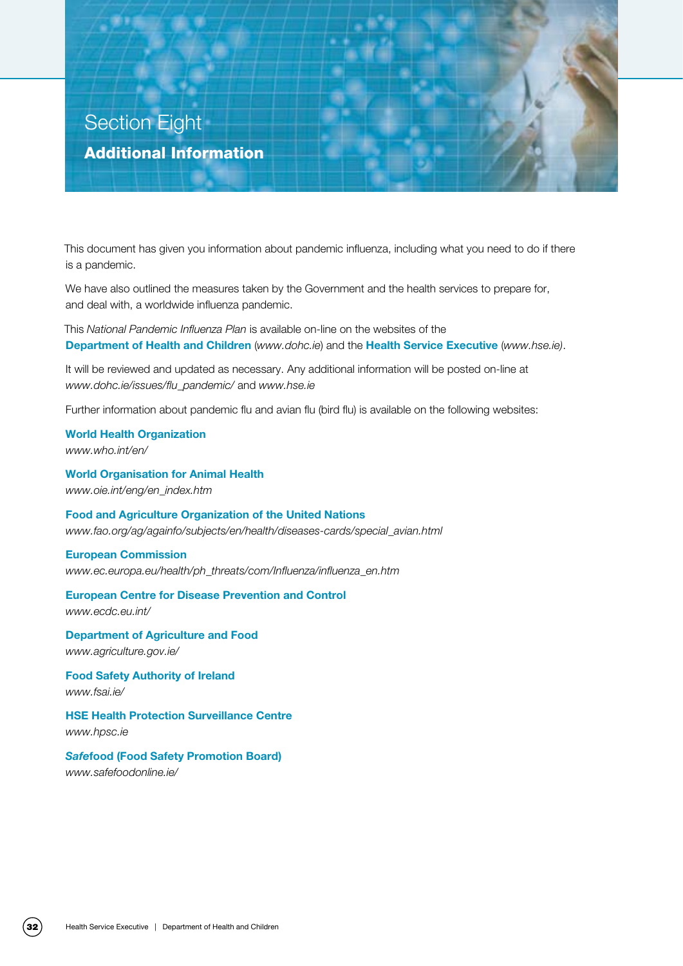# Section Eight Additional Information

This document has given you information about pandemic influenza, including what you need to do if there is a pandemic.

We have also outlined the measures taken by the Government and the health services to prepare for, and deal with, a worldwide influenza pandemic.

This *National Pandemic Influenza Plan* is available on-line on the websites of the **Department of Health and Children** (*www.dohc.ie*) and the **Health Service Executive** (*www.hse.ie)*.

It will be reviewed and updated as necessary. Any additional information will be posted on-line at *www.dohc.ie/issues/flu\_pandemic/* and *www.hse.ie*

Further information about pandemic flu and avian flu (bird flu) is available on the following websites:

**World Health Organization**  *www.who.int/en/*

**World Organisation for Animal Health**  *www.oie.int/eng/en\_index.htm*

**Food and Agriculture Organization of the United Nations** *www.fao.org/ag/againfo/subjects/en/health/diseases-cards/special\_avian.html*

#### **European Commission**

*www.ec.europa.eu/health/ph\_threats/com/Influenza/influenza\_en.htm*

#### **European Centre for Disease Prevention and Control**

*www.ecdc.eu.int/*

**Department of Agriculture and Food**  *www.agriculture.gov.ie/*

**Food Safety Authority of Ireland**  *www.fsai.ie/*

**HSE Health Protection Surveillance Centre**  *www.hpsc.ie*

*Safe***food (Food Safety Promotion Board)**  *www.safefoodonline.ie/*